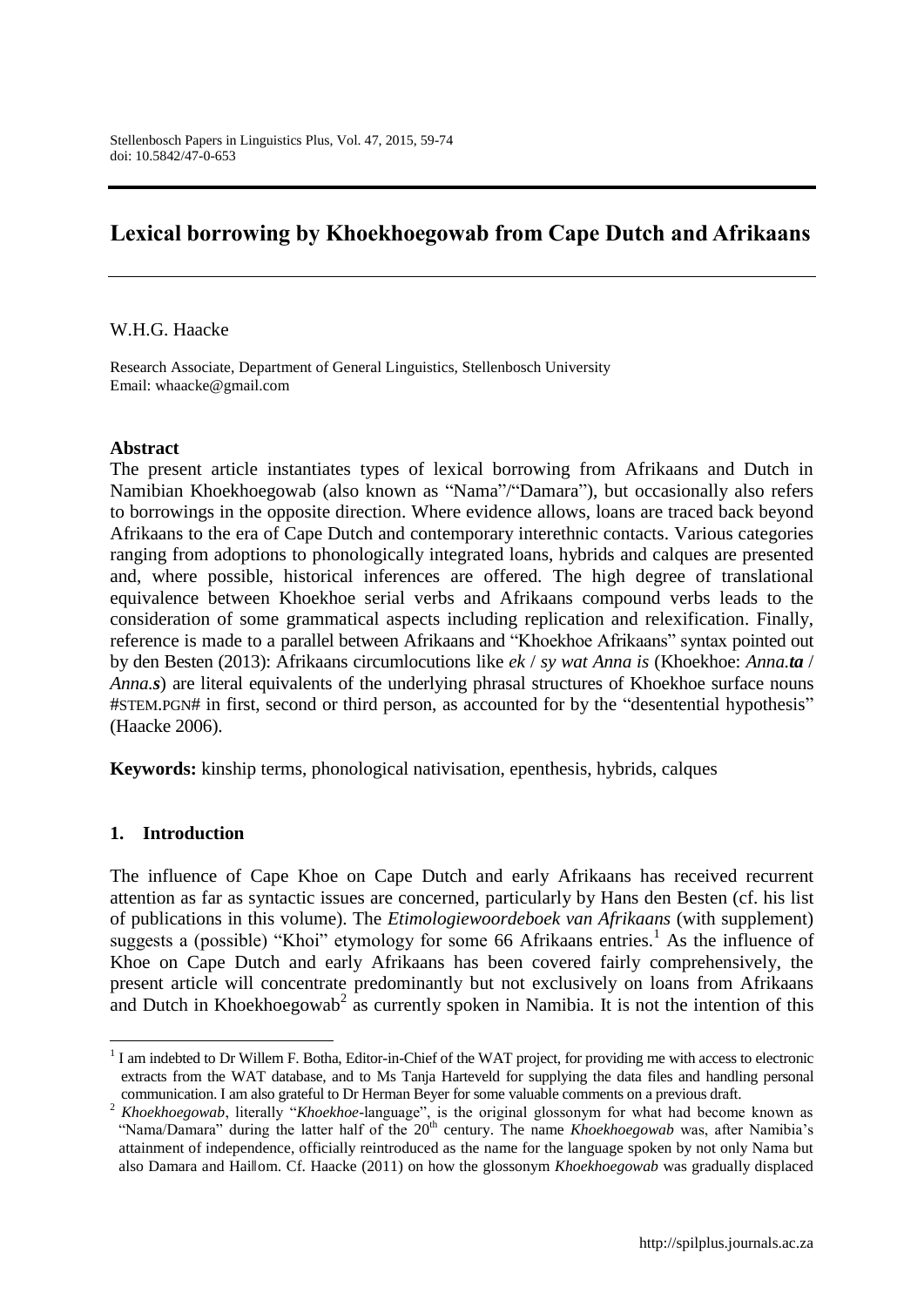# **Lexical borrowing by Khoekhoegowab from Cape Dutch and Afrikaans**

### W.H.G. Haacke

Research Associate, Department of General Linguistics, Stellenbosch University Email: whaacke@gmail.com

### **Abstract**

The present article instantiates types of lexical borrowing from Afrikaans and Dutch in Namibian Khoekhoegowab (also known as "Nama"/"Damara"), but occasionally also refers to borrowings in the opposite direction. Where evidence allows, loans are traced back beyond Afrikaans to the era of Cape Dutch and contemporary interethnic contacts. Various categories ranging from adoptions to phonologically integrated loans, hybrids and calques are presented and, where possible, historical inferences are offered. The high degree of translational equivalence between Khoekhoe serial verbs and Afrikaans compound verbs leads to the consideration of some grammatical aspects including replication and relexification. Finally, reference is made to a parallel between Afrikaans and "Khoekhoe Afrikaans" syntax pointed out by den Besten (2013): Afrikaans circumlocutions like *ek* / *sy wat Anna is* (Khoekhoe: *Anna.ta* / *Anna.s*) are literal equivalents of the underlying phrasal structures of Khoekhoe surface nouns #STEM.PGN# in first, second or third person, as accounted for by the "desentential hypothesis" (Haacke 2006).

**Keywords:** kinship terms, phonological nativisation, epenthesis, hybrids, calques

### **1. Introduction**

 $\overline{a}$ 

The influence of Cape Khoe on Cape Dutch and early Afrikaans has received recurrent attention as far as syntactic issues are concerned, particularly by Hans den Besten (cf. his list of publications in this volume). The *Etimologiewoordeboek van Afrikaans* (with supplement) suggests a (possible) "Khoi" etymology for some 66 Afrikaans entries.<sup>1</sup> As the influence of Khoe on Cape Dutch and early Afrikaans has been covered fairly comprehensively, the present article will concentrate predominantly but not exclusively on loans from Afrikaans and Dutch in Khoekhoegowab<sup>2</sup> as currently spoken in Namibia. It is not the intention of this

<sup>&</sup>lt;sup>1</sup> I am indebted to Dr Willem F. Botha, Editor-in-Chief of the WAT project, for providing me with access to electronic extracts from the WAT database, and to Ms Tanja Harteveld for supplying the data files and handling personal communication. I am also grateful to Dr Herman Beyer for some valuable comments on a previous draft.

<sup>2</sup> *Khoekhoegowab*, literally "*Khoekhoe*-language", is the original glossonym for what had become known as "Nama/Damara" during the latter half of the 20<sup>th</sup> century. The name *Khoekhoegowab* was, after Namibia's attainment of independence, officially reintroduced as the name for the language spoken by not only Nama but also Damara and Haiǁom. Cf. Haacke (2011) on how the glossonym *Khoekhoegowab* was gradually displaced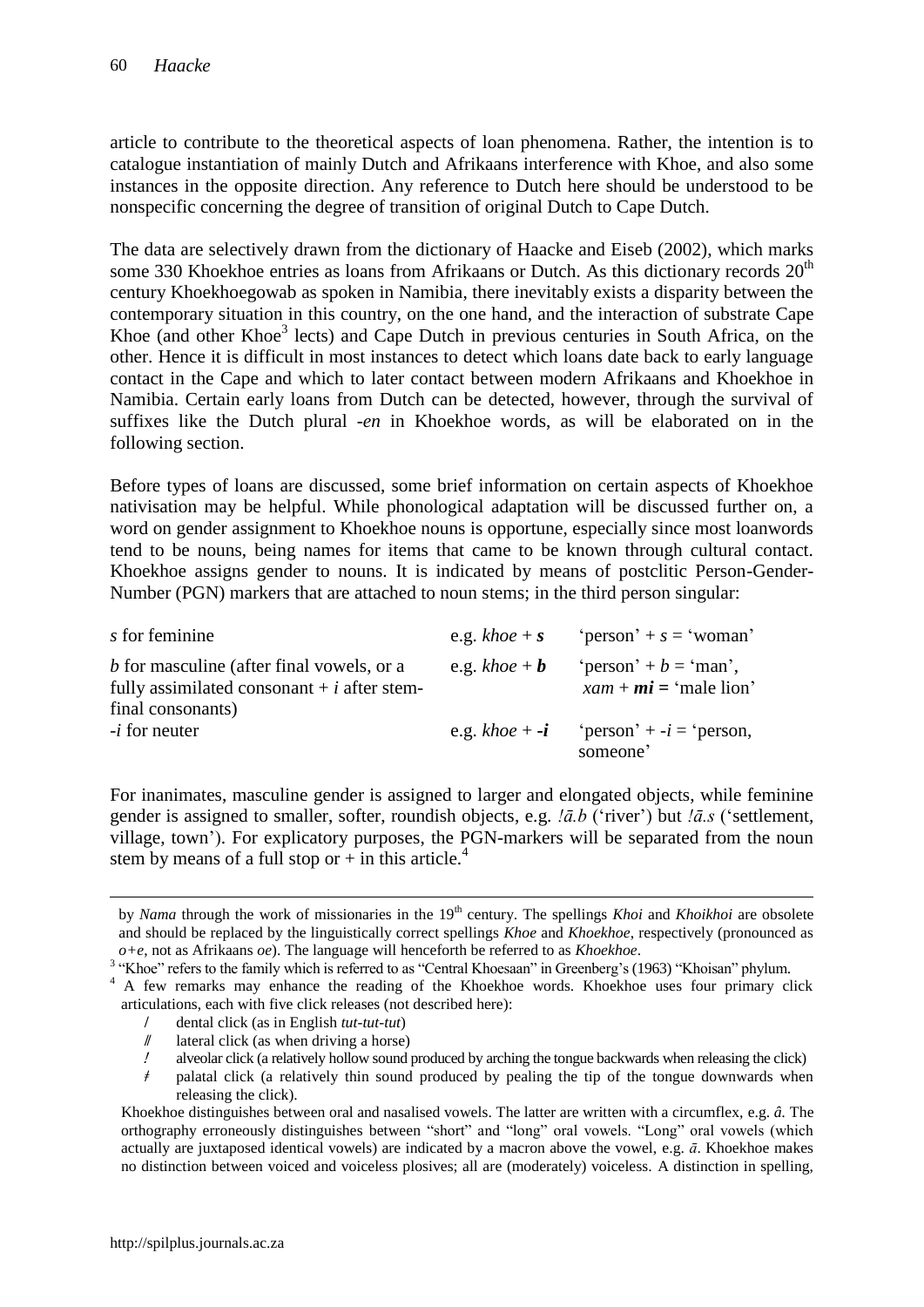article to contribute to the theoretical aspects of loan phenomena. Rather, the intention is to catalogue instantiation of mainly Dutch and Afrikaans interference with Khoe, and also some instances in the opposite direction. Any reference to Dutch here should be understood to be nonspecific concerning the degree of transition of original Dutch to Cape Dutch.

The data are selectively drawn from the dictionary of Haacke and Eiseb (2002), which marks some 330 Khoekhoe entries as loans from Afrikaans or Dutch. As this dictionary records  $20<sup>th</sup>$ century Khoekhoegowab as spoken in Namibia, there inevitably exists a disparity between the contemporary situation in this country, on the one hand, and the interaction of substrate Cape Khoe (and other Khoe<sup>3</sup> lects) and Cape Dutch in previous centuries in South Africa, on the other. Hence it is difficult in most instances to detect which loans date back to early language contact in the Cape and which to later contact between modern Afrikaans and Khoekhoe in Namibia. Certain early loans from Dutch can be detected, however, through the survival of suffixes like the Dutch plural -*en* in Khoekhoe words, as will be elaborated on in the following section.

Before types of loans are discussed, some brief information on certain aspects of Khoekhoe nativisation may be helpful. While phonological adaptation will be discussed further on, a word on gender assignment to Khoekhoe nouns is opportune, especially since most loanwords tend to be nouns, being names for items that came to be known through cultural contact. Khoekhoe assigns gender to nouns. It is indicated by means of postclitic Person-Gender-Number (PGN) markers that are attached to noun stems; in the third person singular:

| s for feminine                                                                                                 | e.g. $khoe + s$              | 'person' + $s =$ 'woman'                                |
|----------------------------------------------------------------------------------------------------------------|------------------------------|---------------------------------------------------------|
| b for masculine (after final vowels, or a<br>fully assimilated consonant $+i$ after stem-<br>final consonants) | e.g. khoe + $\boldsymbol{b}$ | 'person' + $b =$ 'man',<br>$xam + mi = 'male$ lion'     |
| $-i$ for neuter                                                                                                |                              | e.g. $khoe + -i$ 'person' + $-i$ = 'person,<br>someone' |

For inanimates, masculine gender is assigned to larger and elongated objects, while feminine gender is assigned to smaller, softer, roundish objects, e.g. *!ā.b* ("river") but *!ā.s* ("settlement, village, town"). For explicatory purposes, the PGN-markers will be separated from the noun stem by means of a full stop or  $+$  in this article.<sup>4</sup>

- ǀ dental click (as in English *tut-tut-tut*)
- $\mathcal{U}$  lateral click (as when driving a horse)
- ǃ alveolar click (a relatively hollow sound produced by arching the tongue backwards when releasing the click)
- palatal click (a relatively thin sound produced by pealing the tip of the tongue downwards when releasing the click).

by *Nama* through the work of missionaries in the 19<sup>th</sup> century. The spellings *Khoi* and *Khoikhoi* are obsolete and should be replaced by the linguistically correct spellings *Khoe* and *Khoekhoe*, respectively (pronounced as *o+e*, not as Afrikaans *oe*). The language will henceforth be referred to as *Khoekhoe*.

<sup>&</sup>lt;sup>3</sup> "Khoe" refers to the family which is referred to as "Central Khoesaan" in Greenberg's (1963) "Khoisan" phylum.

<sup>&</sup>lt;sup>4</sup> A few remarks may enhance the reading of the Khoekhoe words. Khoekhoe uses four primary click articulations, each with five click releases (not described here):

Khoekhoe distinguishes between oral and nasalised vowels. The latter are written with a circumflex, e.g. *â.* The orthography erroneously distinguishes between "short" and "long" oral vowels. "Long" oral vowels (which actually are juxtaposed identical vowels) are indicated by a macron above the vowel, e.g. *ā*. Khoekhoe makes no distinction between voiced and voiceless plosives; all are (moderately) voiceless. A distinction in spelling,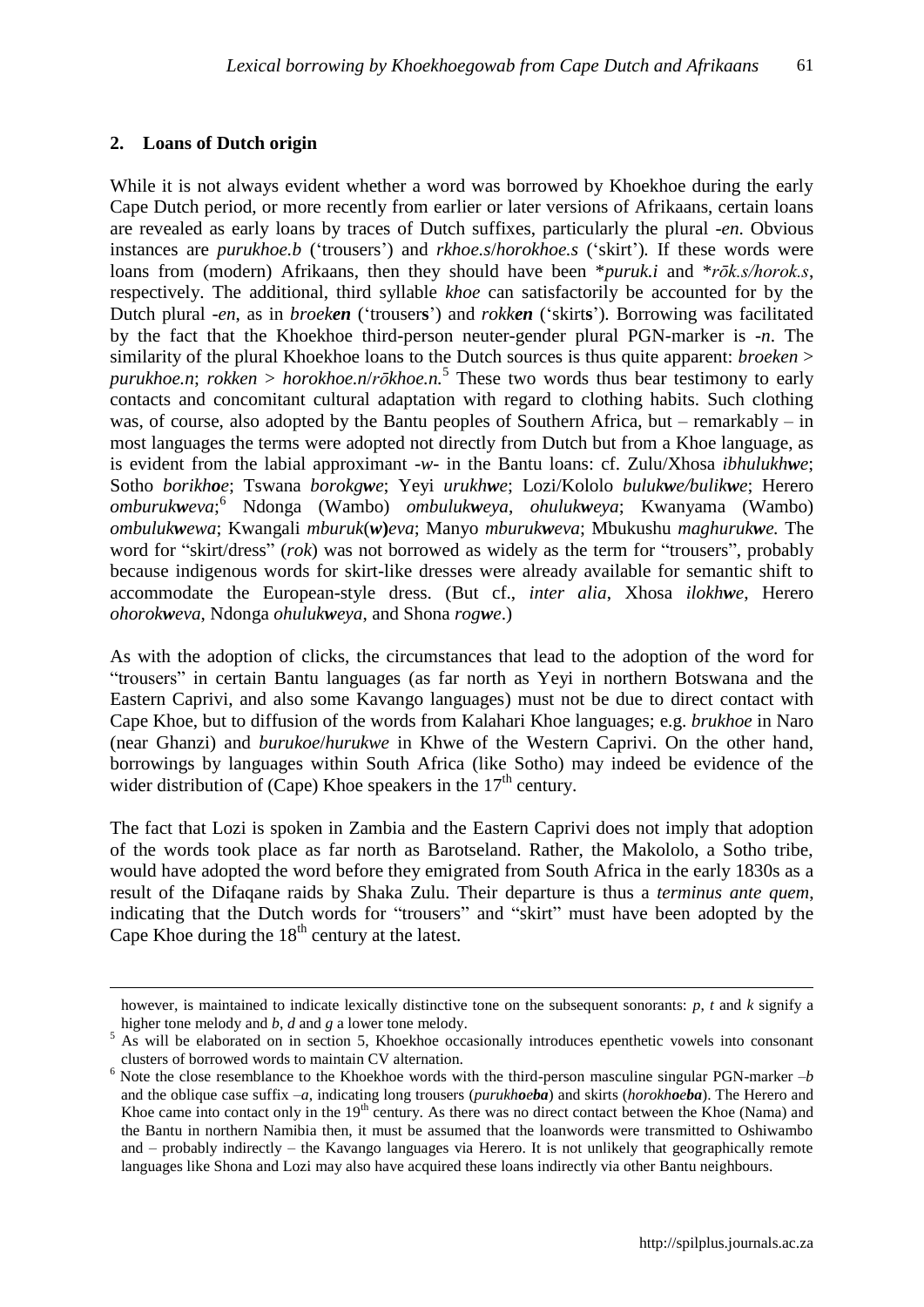### **2. Loans of Dutch origin**

 $\overline{a}$ 

While it is not always evident whether a word was borrowed by Khoekhoe during the early Cape Dutch period, or more recently from earlier or later versions of Afrikaans, certain loans are revealed as early loans by traces of Dutch suffixes, particularly the plural -*en*. Obvious instances are *purukhoe.b* ('trousers') and *rkhoe.s*/*horokhoe.s* ('skirt'). If these words were loans from (modern) Afrikaans, then they should have been \**puruk.i* and \**rōk.s/horok.s*, respectively. The additional, third syllable *khoe* can satisfactorily be accounted for by the Dutch plural -*en*, as in *broeken* ("trouser**s**") and *rokken* ("skirt**s**")*.* Borrowing was facilitated by the fact that the Khoekhoe third-person neuter-gender plural PGN-marker is -*n*. The similarity of the plural Khoekhoe loans to the Dutch sources is thus quite apparent: *broeken* > *purukhoe.n*; *rokken* > *horokhoe.n*/*rōkhoe.n.* 5 These two words thus bear testimony to early contacts and concomitant cultural adaptation with regard to clothing habits. Such clothing was, of course, also adopted by the Bantu peoples of Southern Africa, but – remarkably – in most languages the terms were adopted not directly from Dutch but from a Khoe language, as is evident from the labial approximant -*w*- in the Bantu loans: cf. Zulu/Xhosa *ibhulukhwe*; Sotho *borikhoe*; Tswana *borokgwe*; Yeyi *urukhwe*; Lozi/Kololo *bulukwe/bulikwe*; Herero *omburukweva*; <sup>6</sup> Ndonga (Wambo) *ombulukweya*, *ohulukweya*; Kwanyama (Wambo) *ombulukwewa*; Kwangali *mburuk*(*w***)***eva*; Manyo *mburukweva*; Mbukushu *maghurukwe.* The word for "skirt/dress" (*rok*) was not borrowed as widely as the term for "trousers", probably because indigenous words for skirt-like dresses were already available for semantic shift to accommodate the European-style dress. (But cf., *inter alia*, Xhosa *ilokhwe*, Herero *ohorokweva*, Ndonga *ohulukweya*, and Shona *rogwe*.)

As with the adoption of clicks, the circumstances that lead to the adoption of the word for "trousers" in certain Bantu languages (as far north as Yeyi in northern Botswana and the Eastern Caprivi, and also some Kavango languages) must not be due to direct contact with Cape Khoe, but to diffusion of the words from Kalahari Khoe languages; e.g. *brukhoe* in Naro (near Ghanzi) and *burukoe*/*hurukwe* in Khwe of the Western Caprivi. On the other hand, borrowings by languages within South Africa (like Sotho) may indeed be evidence of the wider distribution of (Cape) Khoe speakers in the  $17<sup>th</sup>$  century.

The fact that Lozi is spoken in Zambia and the Eastern Caprivi does not imply that adoption of the words took place as far north as Barotseland. Rather, the Makololo, a Sotho tribe, would have adopted the word before they emigrated from South Africa in the early 1830s as a result of the Difaqane raids by Shaka Zulu. Their departure is thus a *terminus ante quem*, indicating that the Dutch words for "trousers" and "skirt" must have been adopted by the Cape Khoe during the  $18<sup>th</sup>$  century at the latest.

however, is maintained to indicate lexically distinctive tone on the subsequent sonorants: *p*, *t* and *k* signify a higher tone melody and *b*, *d* and *g* a lower tone melody.

<sup>&</sup>lt;sup>5</sup> As will be elaborated on in section 5, Khoekhoe occasionally introduces epenthetic vowels into consonant clusters of borrowed words to maintain CV alternation.

 $6$  Note the close resemblance to the Khoekhoe words with the third-person masculine singular PGN-marker  $-b$ and the oblique case suffix *–a*, indicating long trousers (*purukhoeba*) and skirts (*horokhoeba*). The Herero and Khoe came into contact only in the  $19<sup>th</sup>$  century. As there was no direct contact between the Khoe (Nama) and the Bantu in northern Namibia then, it must be assumed that the loanwords were transmitted to Oshiwambo and – probably indirectly – the Kavango languages via Herero. It is not unlikely that geographically remote languages like Shona and Lozi may also have acquired these loans indirectly via other Bantu neighbours.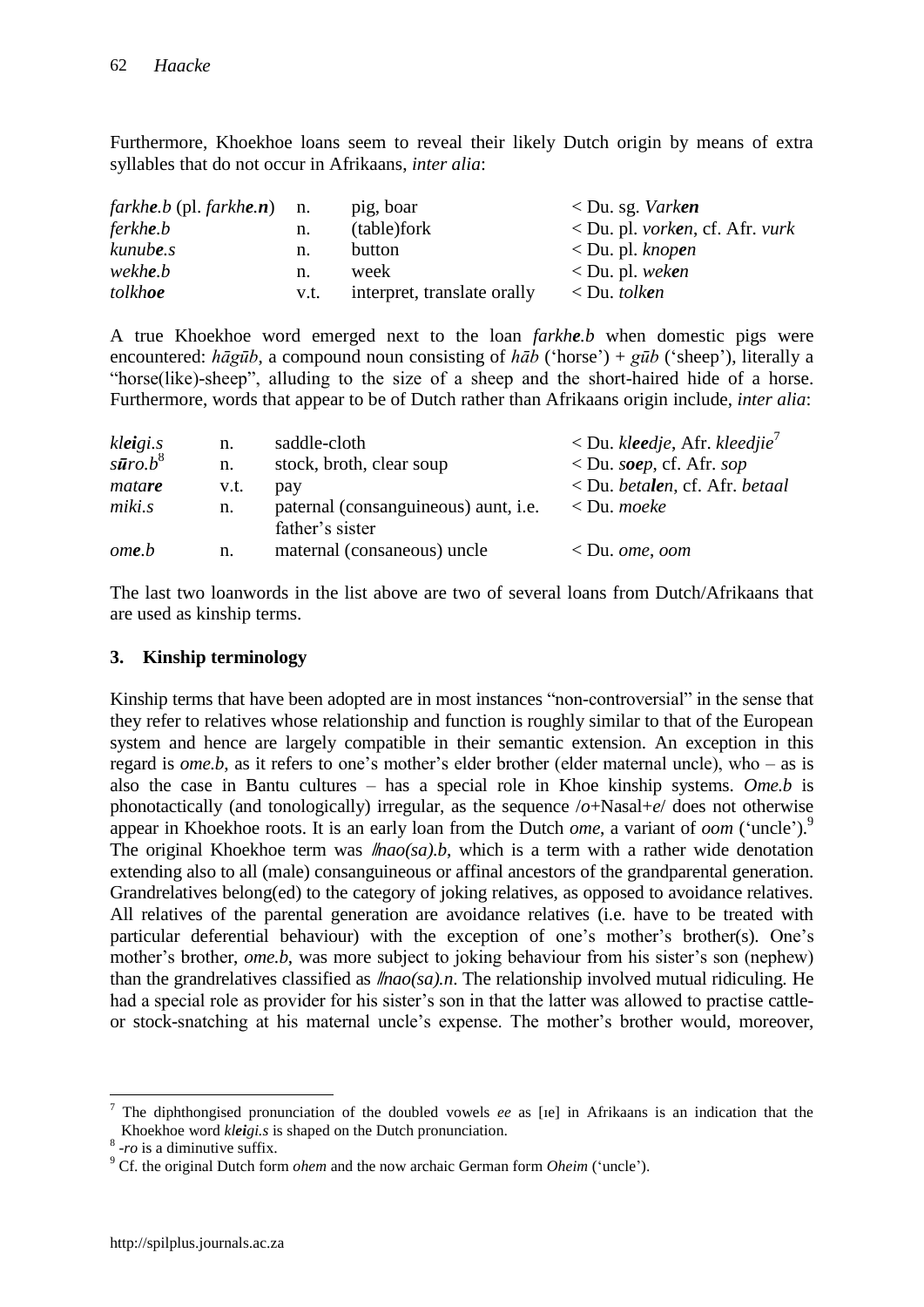Furthermore, Khoekhoe loans seem to reveal their likely Dutch origin by means of extra syllables that do not occur in Afrikaans, *inter alia*:

| <i>farkhe.b</i> (pl. <i>farkhe.n</i> ) n. |      | pig, boar                   | $\langle$ Du. sg. <i>Varken</i>                        |
|-------------------------------------------|------|-----------------------------|--------------------------------------------------------|
| ferkh <b>e</b> .b                         | n.   | (table) for k               | $\langle$ Du. pl. <i>vorken</i> , cf. Afr. <i>vurk</i> |
| kunub <b>e</b> .s                         | n.   | button                      | $\langle$ Du. pl. <i>knopen</i>                        |
| wekh <b>e</b> .b                          | n.   | week                        | $\langle$ Du. pl. weken                                |
| tolkhoe                                   | v.t. | interpret, translate orally | $\langle$ Du. tolken                                   |

A true Khoekhoe word emerged next to the loan *farkhe.b* when domestic pigs were encountered: *hāgūb*, a compound noun consisting of *hāb* ('horse') + *gūb* ('sheep'), literally a "horse(like)-sheep", alluding to the size of a sheep and the short-haired hide of a horse. Furthermore, words that appear to be of Dutch rather than Afrikaans origin include, *inter alia*:

| kleigi.s                  | n.   | saddle-cloth                                            | $\langle$ Du. kleedje, Afr. kleedjie <sup>7</sup> |
|---------------------------|------|---------------------------------------------------------|---------------------------------------------------|
| $s\overline{u}$ ro. $b^8$ | n.   | stock, broth, clear soup                                | $\langle$ Du. <i>soep</i> , cf. Afr. <i>sop</i>   |
| matare                    | v.t. | pay                                                     | < Du. betalen, cf. Afr. betaal                    |
| miki.s                    | n.   | paternal (consanguineous) aunt, i.e.<br>father's sister | $<$ Du. moeke                                     |
| ome.b                     | n.   | maternal (consaneous) uncle                             | $<$ Du. ome, oom                                  |

The last two loanwords in the list above are two of several loans from Dutch/Afrikaans that are used as kinship terms.

### **3. Kinship terminology**

Kinship terms that have been adopted are in most instances "non-controversial" in the sense that they refer to relatives whose relationship and function is roughly similar to that of the European system and hence are largely compatible in their semantic extension. An exception in this regard is *ome.b*, as it refers to one's mother's elder brother (elder maternal uncle), who – as is also the case in Bantu cultures – has a special role in Khoe kinship systems. *Ome.b* is phonotactically (and tonologically) irregular, as the sequence /*o*+Nasal+*e*/ does not otherwise appear in Khoekhoe roots. It is an early loan from the Dutch *ome*, a variant of *oom* ('uncle').<sup>9</sup> The original Khoekhoe term was *lhao(sa).b*, which is a term with a rather wide denotation extending also to all (male) consanguineous or affinal ancestors of the grandparental generation. Grandrelatives belong(ed) to the category of joking relatives, as opposed to avoidance relatives. All relatives of the parental generation are avoidance relatives (i.e. have to be treated with particular deferential behaviour) with the exception of one's mother's brother(s). One's mother's brother, *ome.b*, was more subject to joking behaviour from his sister's son (nephew) than the grandrelatives classified as  $\ell$ *nao(sa).n*. The relationship involved mutual ridiculing. He had a special role as provider for his sister's son in that the latter was allowed to practise cattleor stock-snatching at his maternal uncle"s expense. The mother"s brother would, moreover,

<sup>7</sup> The diphthongised pronunciation of the doubled vowels *ee* as [ɪe] in Afrikaans is an indication that the Khoekhoe word *kleigi.s* is shaped on the Dutch pronunciation.<br><sup>8</sup> -*ro* is a diminutive suffix.

<sup>9</sup> Cf. the original Dutch form *ohem* and the now archaic German form *Oheim* ("uncle").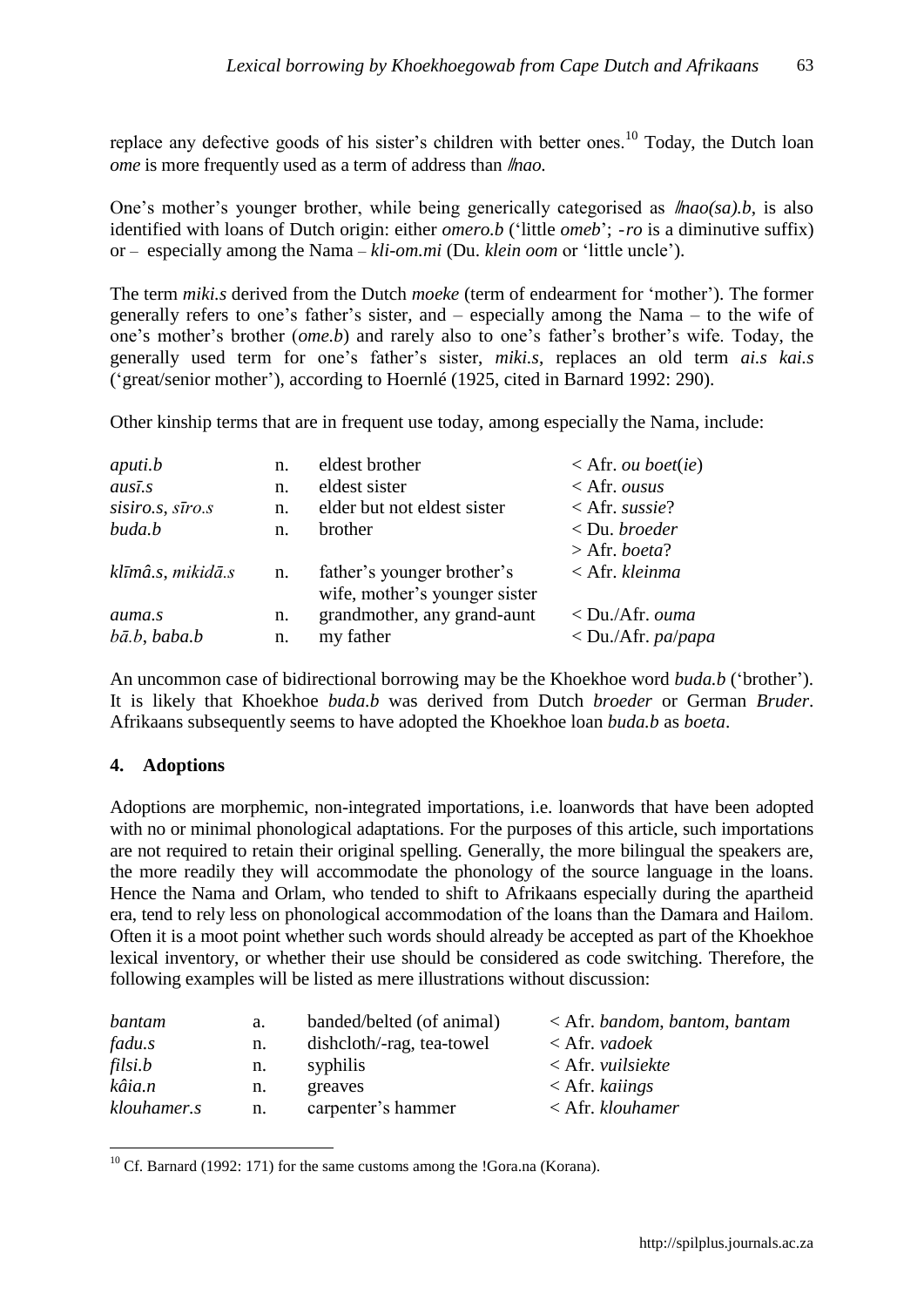replace any defective goods of his sister's children with better ones.<sup>10</sup> Today, the Dutch loan *ome* is more frequently used as a term of address than  $\ell$ *nao*.

One's mother's younger brother, while being generically categorised as  $\ell$ *nao(sa).b*, is also identified with loans of Dutch origin: either *omero.b* ("little *omeb*"; -*ro* is a diminutive suffix) or – especially among the Nama – *kli-om.mi* (Du. *klein oom* or "little uncle").

The term *miki.s* derived from the Dutch *moeke* (term of endearment for "mother"). The former generally refers to one"s father"s sister, and – especially among the Nama – to the wife of one"s mother"s brother (*ome.b*) and rarely also to one"s father"s brother"s wife. Today, the generally used term for one"s father"s sister, *miki.s*, replaces an old term *ai.s kai.s*  ("great/senior mother"), according to Hoernlé (1925, cited in Barnard 1992: 290).

Other kinship terms that are in frequent use today, among especially the Nama, include:

| aputi.b              | n. | eldest brother                | $\langle$ Afr. <i>ou boet(ie)</i> |
|----------------------|----|-------------------------------|-----------------------------------|
| $aus\overline{i}.s$  | n. | eldest sister                 | $\langle$ Afr. <i>ousus</i>       |
| sisiro.s, sīro.s     | n. | elder but not eldest sister   | $\langle$ Afr. sussie?            |
| buda.b               | n. | brother                       | $<$ Du. broeder                   |
|                      |    |                               | $>$ Afr. boeta?                   |
| klīmâ.s, mikidā.s    | n. | father's younger brother's    | $\langle$ Afr. kleinma            |
|                      |    | wife, mother's younger sister |                                   |
| auma.s               | n. | grandmother, any grand-aunt   | $<$ Du./Afr. ouma                 |
| $b\bar{a}.b, baba.b$ | n. | my father                     | $\langle$ Du./Afr. <i>pa/papa</i> |

An uncommon case of bidirectional borrowing may be the Khoekhoe word *buda.b* ("brother"). It is likely that Khoekhoe *buda.b* was derived from Dutch *broeder* or German *Bruder*. Afrikaans subsequently seems to have adopted the Khoekhoe loan *buda.b* as *boeta*.

### **4. Adoptions**

 $\overline{a}$ 

Adoptions are morphemic, non-integrated importations, i.e. loanwords that have been adopted with no or minimal phonological adaptations. For the purposes of this article, such importations are not required to retain their original spelling. Generally, the more bilingual the speakers are, the more readily they will accommodate the phonology of the source language in the loans. Hence the Nama and Orlam, who tended to shift to Afrikaans especially during the apartheid era, tend to rely less on phonological accommodation of the loans than the Damara and Hailom. Often it is a moot point whether such words should already be accepted as part of the Khoekhoe lexical inventory, or whether their use should be considered as code switching. Therefore, the following examples will be listed as mere illustrations without discussion:

| bantam      | a. | banded/belted (of animal) | $\langle$ Afr. bandom, bantom, bantam |
|-------------|----|---------------------------|---------------------------------------|
| fadu.s      | n. | dishcloth/-rag, tea-towel | $\langle$ Afr. <i>vadoek</i>          |
| filsi.b     | n. | syphilis                  | $\langle$ Afr. <i>vuilsiekte</i>      |
| kâia.n      | n. | greaves                   | $\langle$ Afr. kaiings                |
| klouhamer.s | n. | carpenter's hammer        | $\langle$ Afr. klouhamer              |

<sup>&</sup>lt;sup>10</sup> Cf. Barnard (1992: 171) for the same customs among the !Gora.na (Korana).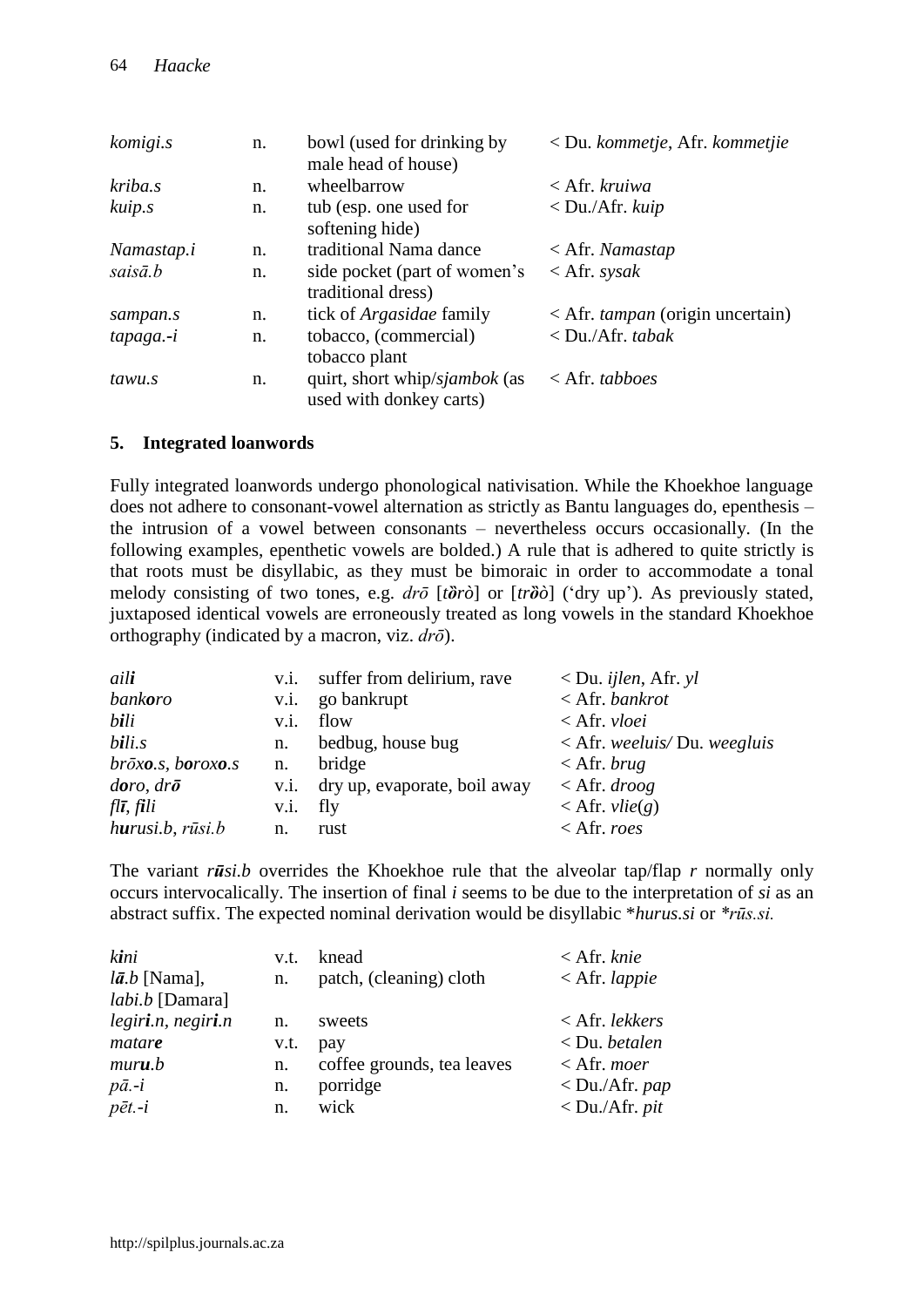| komigi.s        | n. | bowl (used for drinking by<br>male head of house)        | $\langle$ Du. kommetje, Afr. kommetjie          |
|-----------------|----|----------------------------------------------------------|-------------------------------------------------|
| kriba.s         | n. | wheelbarrow                                              | $\langle$ Afr. kruiwa                           |
| kuip.s          | n. | tub (esp. one used for<br>softening hide)                | $\langle$ Du./Afr. kuip                         |
| Namastap.i      | n. | traditional Nama dance                                   | $\langle$ Afr. <i>Namastap</i>                  |
| $sais\bar{a}.b$ | n. | side pocket (part of women's<br>traditional dress)       | $\langle$ Afr. sysak                            |
| sampan.s        | n. | tick of <i>Argasidae</i> family                          | $\langle$ Afr. <i>tampan</i> (origin uncertain) |
| tapaga.i        | n. | tobacco, (commercial)<br>tobacco plant                   | $\langle$ Du./Afr. tabak                        |
| tawu.s          | n. | quirt, short whip/sjambok (as<br>used with donkey carts) | $\langle$ Afr. <i>tabboes</i>                   |

### **5. Integrated loanwords**

Fully integrated loanwords undergo phonological nativisation. While the Khoekhoe language does not adhere to consonant-vowel alternation as strictly as Bantu languages do, epenthesis – the intrusion of a vowel between consonants – nevertheless occurs occasionally. (In the following examples, epenthetic vowels are bolded.) A rule that is adhered to quite strictly is that roots must be disyllabic, as they must be bimoraic in order to accommodate a tonal melody consisting of two tones, e.g. *drō* [*tȍrò*] or [*trȍò*] ("dry up"). As previously stated, juxtaposed identical vowels are erroneously treated as long vowels in the standard Khoekhoe orthography (indicated by a macron, viz. *drō*).

| aili                              | $V.\dot{1}$ . | suffer from delirium, rave        | $\langle$ Du. <i>ijlen</i> , Afr. <i>yl</i> |
|-----------------------------------|---------------|-----------------------------------|---------------------------------------------|
| bankoro                           | V.i.          | go bankrupt                       | $\langle$ Afr. bankrot                      |
| bili                              | $V.\dot{1}$ . | flow                              | $\langle$ Afr. vloei                        |
| bili.s                            | n.            | bedbug, house bug                 | $\langle$ Afr. weeluis/Du. weegluis         |
| $b\bar{r}$ <i>oxo.s, boroxo.s</i> | n.            | bridge                            | $\langle$ Afr. <i>brug</i>                  |
| $d$ oro, dr <b>ō</b>              |               | v.i. dry up, evaporate, boil away | $\langle$ Afr. <i>droog</i>                 |
| $fl\bar{\imath}, fili$            | $V.\dot{1}$ . | fly                               | $\langle$ Afr. <i>vlie(g)</i>               |
| $h$ <b>u</b> rusi.b, rūsi.b       | n.            | rust                              | $\langle$ Afr. roes                         |

The variant *rūsi.b* overrides the Khoekhoe rule that the alveolar tap/flap *r* normally only occurs intervocalically. The insertion of final *i* seems to be due to the interpretation of *si* as an abstract suffix. The expected nominal derivation would be disyllabic \**hurus.si* or *\*rūs.si.*

| kini                 | v.t. | knead                      | $\langle$ Afr. knie        |
|----------------------|------|----------------------------|----------------------------|
| $l\bar{a}.b$ [Nama], | n.   | patch, (cleaning) cloth    | $\langle$ Afr. lappie      |
| labi.b [Damara]      |      |                            |                            |
| legiri.n, negiri.n   | n.   | sweets                     | $\langle$ Afr. lekkers     |
| matare               | v.t. | pay                        | $<$ Du. betalen            |
| $m$ uru. $b$         | n.   | coffee grounds, tea leaves | $\langle$ Afr. <i>moer</i> |
| $p\bar{a}$ .-i       | n.   | porridge                   | $<$ Du./Afr. pap           |
| $p\bar{e}t - i$      | n.   | wick                       | $<$ Du./Afr. <i>pit</i>    |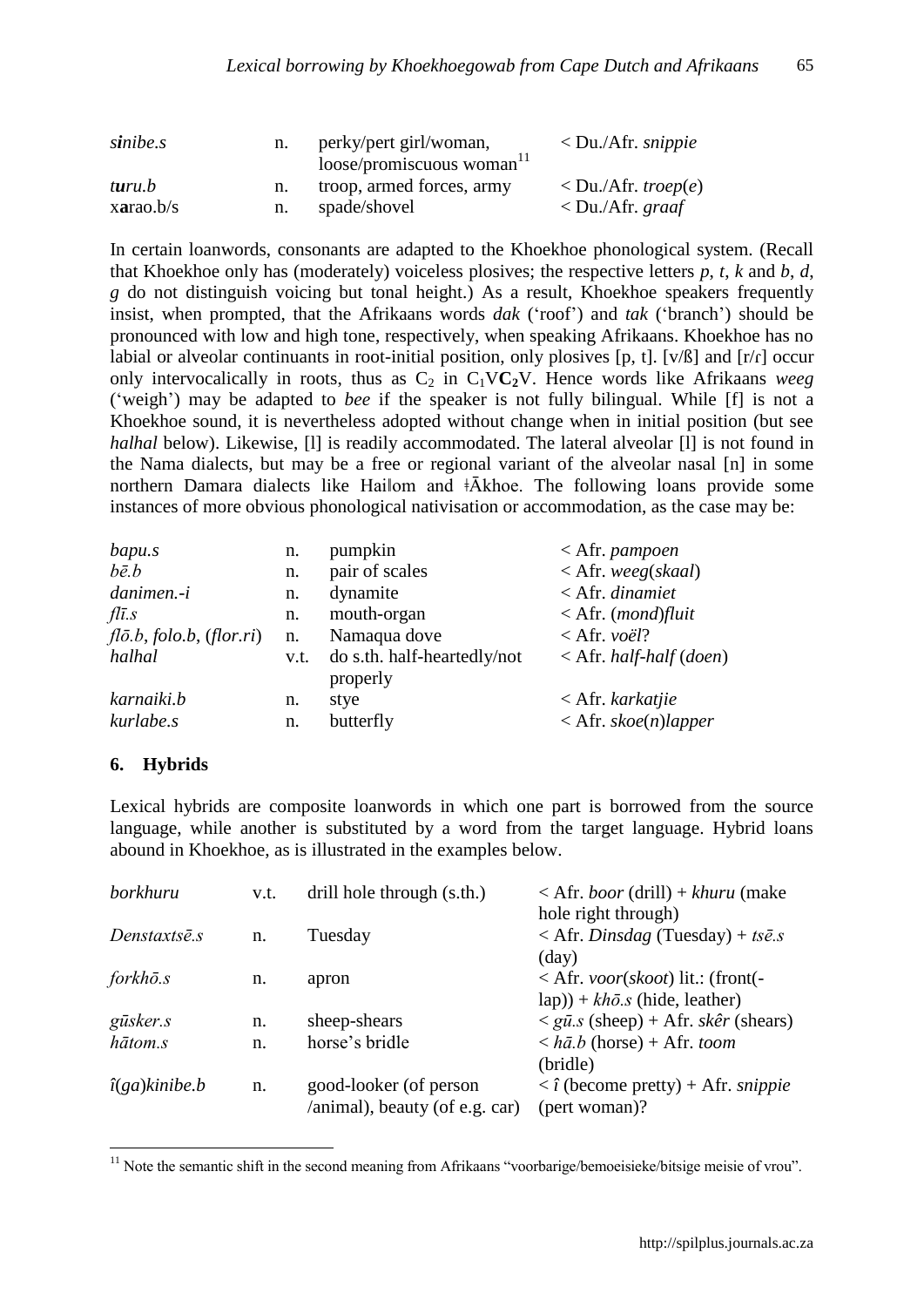| sinibe.s     | n. | perky/pert girl/woman,<br>loose/promiscuous woman <sup>11</sup> | $\langle$ Du./Afr. <i>snippie</i>            |
|--------------|----|-----------------------------------------------------------------|----------------------------------------------|
| turu.b       | n. | troop, armed forces, army                                       | $\langle$ Du./Afr. <i>troep</i> ( <i>e</i> ) |
| xarao.b/ $s$ | n. | spade/shovel                                                    | $\langle$ Du./Afr. graaf                     |

In certain loanwords, consonants are adapted to the Khoekhoe phonological system. (Recall that Khoekhoe only has (moderately) voiceless plosives; the respective letters *p*, *t*, *k* and *b*, *d*, *g* do not distinguish voicing but tonal height.) As a result, Khoekhoe speakers frequently insist, when prompted, that the Afrikaans words *dak* ("roof") and *tak* ("branch") should be pronounced with low and high tone, respectively, when speaking Afrikaans. Khoekhoe has no labial or alveolar continuants in root-initial position, only plosives [p, t]. [v/ß] and [r/ɾ] occur only intervocalically in roots, thus as  $C_2$  in  $C_1VC_2V$ . Hence words like Afrikaans *weeg* ("weigh") may be adapted to *bee* if the speaker is not fully bilingual. While [f] is not a Khoekhoe sound, it is nevertheless adopted without change when in initial position (but see *halhal* below). Likewise, [1] is readily accommodated. The lateral alveolar [1] is not found in the Nama dialects, but may be a free or regional variant of the alveolar nasal [n] in some northern Damara dialects like Hai $\parallel$ om and  $\frac{1}{4}$ khoe. The following loans provide some instances of more obvious phonological nativisation or accommodation, as the case may be:

| $b$ <i>apu.s</i>                 | n.   | pumpkin                                 | $\langle$ Afr. pampoen                      |
|----------------------------------|------|-----------------------------------------|---------------------------------------------|
| $b\bar{e}$ . $b$                 | n.   | pair of scales                          | $\langle$ Afr. weeg(skaal)                  |
| danimen.-i                       | n.   | dynamite                                | $\langle$ Afr. dinamiet                     |
| $fl\bar{t}.s$                    | n.   | mouth-organ                             | $\langle$ Afr. ( <i>mond</i> ) <i>fluit</i> |
| $fl\bar{o}.b, folo.b, (flor.ri)$ | n.   | Namaqua dove                            | $\langle$ Afr. voël?                        |
| halhal                           | v.t. | do s.th. half-heartedly/not<br>properly | $\langle$ Afr. half-half (doen)             |
| karnaiki.b                       | n.   | stye                                    | $\langle$ Afr. karkatjie                    |
| kurlabe.s                        | n.   | butterfly                               | $\langle$ Afr. skoe(n)lapper                |

# **6. Hybrids**

 $\overline{a}$ 

Lexical hybrids are composite loanwords in which one part is borrowed from the source language, while another is substituted by a word from the target language. Hybrid loans abound in Khoekhoe, as is illustrated in the examples below.

| borkhuru                   | v.t. | drill hole through (s.th.)                               | $\langle$ Afr. <i>boor</i> (drill) + <i>khuru</i> (make<br>hole right through)                                               |
|----------------------------|------|----------------------------------------------------------|------------------------------------------------------------------------------------------------------------------------------|
| Denstaxtsē <sub>s</sub>    | n.   | Tuesday                                                  | < Afr. Dinsdag (Tuesday) + tsē.s<br>$\text{(day)}$                                                                           |
| $forkh\bar{o}.s$           | n.   | apron                                                    | $\langle$ Afr. <i>voor</i> ( <i>skoot</i> ) lit.: (front(-<br>$\text{lap)}$ ) + $\text{k}h\bar{\text{o}}$ .s (hide, leather) |
| gūsker.s                   | n.   | sheep-shears                                             | $\langle g\bar{u}.s(\text{sheep}) + \text{Afr.} \, sk\hat{e}r(\text{shears})\rangle$                                         |
| hātom.s                    | n.   | horse's bridle                                           | $\langle h\bar{a}, b \rangle$ (horse) + Afr. <i>toom</i><br>(bridle)                                                         |
| $\hat{\iota}$ (ga)kinibe.b | n.   | good-looker (of person<br>/animal), beauty (of e.g. car) | $\langle \hat{i} \rangle$ (become pretty) + Afr. <i>snippie</i><br>(pert woman)?                                             |

<sup>&</sup>lt;sup>11</sup> Note the semantic shift in the second meaning from Afrikaans "voorbarige/bemoeisieke/bitsige meisie of vrou".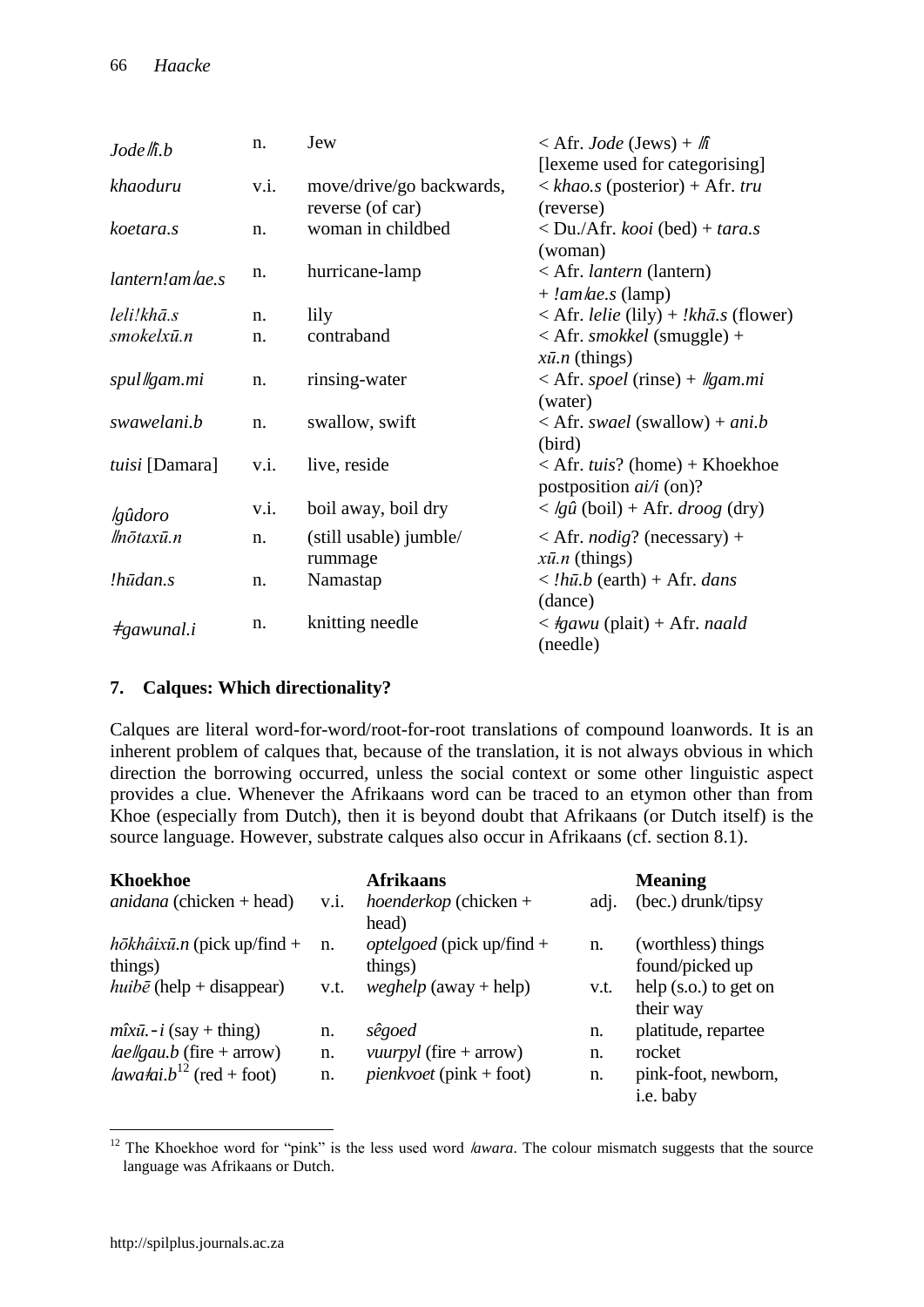| $Jode\$ h.b                                | n.   | Jew                      | < Afr. <i>Jode</i> (Jews) + $\hbar$                                                   |
|--------------------------------------------|------|--------------------------|---------------------------------------------------------------------------------------|
|                                            |      |                          | [lexeme used for categorising]                                                        |
| khaoduru                                   | v.i. | move/drive/go backwards, | $\langle$ khao.s (posterior) + Afr. tru                                               |
|                                            |      | reverse (of car)         | (reverse)                                                                             |
| koetara.s                                  | n.   | woman in childbed        | $\langle$ Du./Afr. <i>kooi</i> (bed) + <i>tara.s</i>                                  |
|                                            |      |                          | (woman)                                                                               |
| lantern!am lae.s                           | n.   | hurricane-lamp           | < Afr. lantern (lantern)                                                              |
|                                            |      |                          | $+$ ! am lae.s (lamp)                                                                 |
| leli!khā.s                                 | n.   | lily                     | < Afr. <i>lelie</i> (lily) + <i>!khā.s</i> (flower)                                   |
| smokelxū.n                                 | n.   | contraband               | $\langle$ Afr. <i>smokkel</i> (smuggle) +                                             |
|                                            |      |                          | $x\bar{u}$ . <i>n</i> (things)                                                        |
| spul //gam.mi                              | n.   | rinsing-water            | $\langle$ Afr. <i>spoel</i> (rinse) + <i>llgam.mi</i>                                 |
|                                            |      |                          | (water)                                                                               |
| swawelani.b                                | n.   | swallow, swift           | $\langle$ Afr. <i>swael</i> (swallow) + <i>ani.b</i>                                  |
|                                            |      |                          | (bird)                                                                                |
| tuisi [Damara]                             | v.i. | live, reside             | $\langle$ Afr. tuis? (home) + Khoekhoe                                                |
|                                            |      |                          | postposition $ai/i$ (on)?                                                             |
| <i>lgûdoro</i>                             | v.i. | boil away, boil dry      | $\langle \log \hat{u}(\text{boil}) + \text{Afr.} \text{ d} \text{roog (dry)} \rangle$ |
| $\mathsf{l}$ ln $\bar{o}$ tax $\bar{u}$ .n | n.   | (still usable) jumble/   | $\langle$ Afr. <i>nodig</i> ? (necessary) +                                           |
|                                            |      | rummage                  | $x\bar{u}$ . <i>n</i> (things)                                                        |
| !hūdan.s                                   | n.   | Namastap                 | $\langle h\bar{u}.b$ (earth) + Afr. <i>dans</i>                                       |
|                                            |      |                          | (dance)                                                                               |
| $\neq$ gawunal.i                           | n.   | knitting needle          | $\langle \eta$ / $\eta$ / $\eta$ (plait) + Afr. <i>naald</i>                          |
|                                            |      |                          | (needle)                                                                              |

# **7. Calques: Which directionality?**

Calques are literal word-for-word/root-for-root translations of compound loanwords. It is an inherent problem of calques that, because of the translation, it is not always obvious in which direction the borrowing occurred, unless the social context or some other linguistic aspect provides a clue. Whenever the Afrikaans word can be traced to an etymon other than from Khoe (especially from Dutch), then it is beyond doubt that Afrikaans (or Dutch itself) is the source language. However, substrate calques also occur in Afrikaans (cf. section 8.1).

| <b>Khoekhoe</b>                                                |               | Afrikaans                                     |      | <b>Meaning</b>                        |
|----------------------------------------------------------------|---------------|-----------------------------------------------|------|---------------------------------------|
| $anidana$ (chicken + head)                                     | $V.\dot{1}$ . | hoenderkop (chicken +<br>head)                | adj. | (bec.) drunk/tipsy                    |
| $h\bar{\sigma}kh\hat{a}ix\bar{u}.n$ (pick up/find +<br>things) | n.            | <i>optelgoed</i> (pick up/find $+$<br>things) | n.   | (worthless) things<br>found/picked up |
| huibē (help + disappear)                                       | v.t.          | <i>weghelp</i> (away + help)                  | v.t. | help $(s.o.)$ to get on<br>their way  |
| $m\hat{x}x\overline{u} - i$ (say + thing)                      | n.            | sêgoed                                        | n.   | platitude, repartee                   |
|                                                                | n.            | <i>vuurpyl</i> (fire $+$ arrow)               | n.   | rocket                                |
| <i>lawa tai.b</i> <sup>12</sup> (red + foot)                   | n.            | <i>pienkvoet</i> (pink + foot)                | n.   | pink-foot, newborn,<br>i.e. baby      |

 $12$  The Khoekhoe word for "pink" is the less used word *lawara*. The colour mismatch suggests that the source language was Afrikaans or Dutch.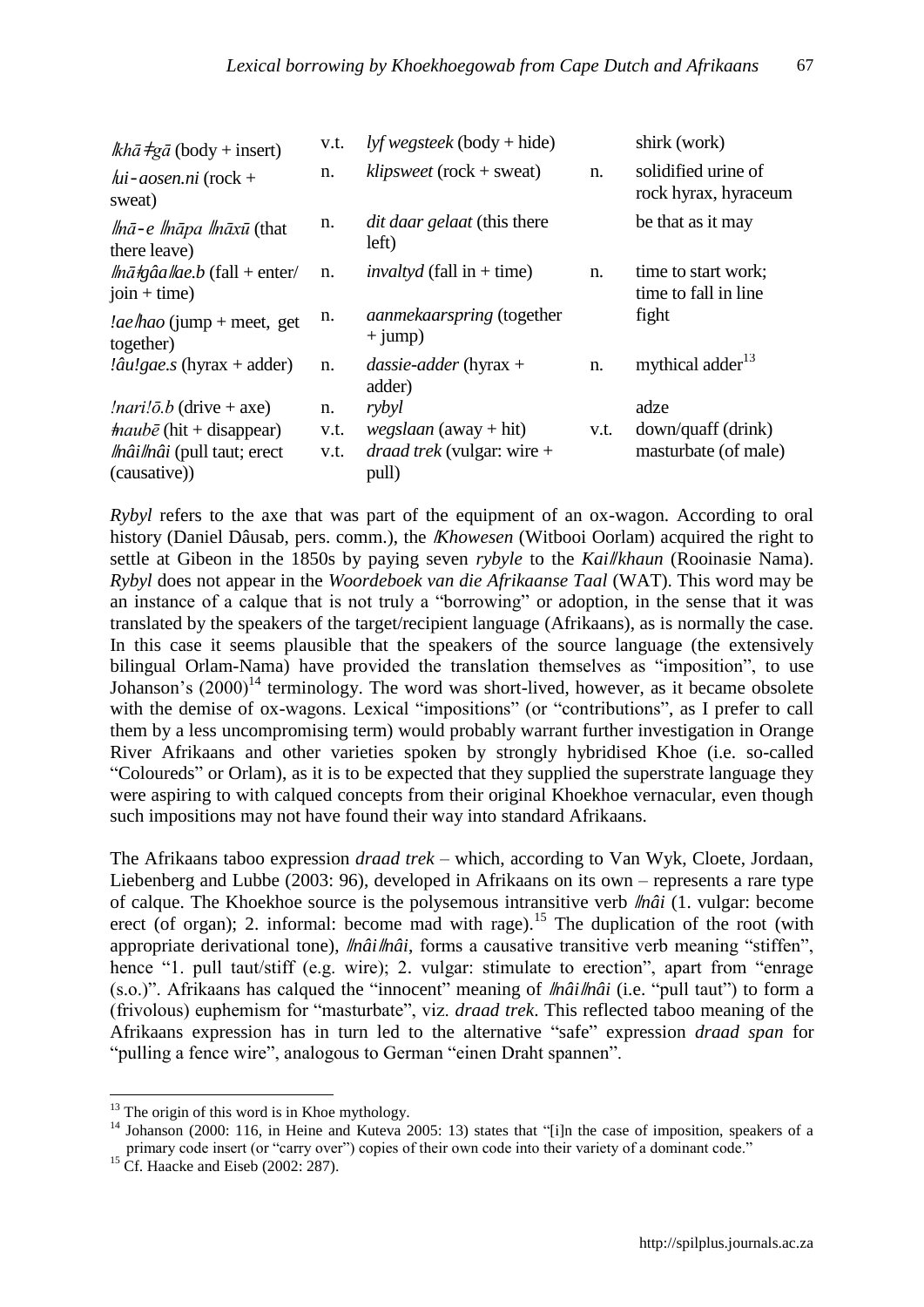| <i>khā</i> $\neq g\bar{a}$ (body + insert)                          | v.t. | <i>lyf wegsteek</i> (body + hide)            |      | shirk (work)                                |
|---------------------------------------------------------------------|------|----------------------------------------------|------|---------------------------------------------|
| $hii$ -aosen.ni (rock +<br>sweat)                                   | n.   | $klpsweet$ (rock + sweat)                    | n.   | solidified urine of<br>rock hyrax, hyraceum |
| <i>llnā-e llnāpa llnāxū</i> (that<br>there leave)                   | n.   | <i>dit daar gelaat</i> (this there<br>left)  |      | be that as it may                           |
| <i>llnā <del>f</del>gâa llae.b</i> (fall + enter/<br>$join + time)$ | n.   | <i>invaltyd</i> (fall in $+$ time)           | n.   | time to start work;<br>time to fall in line |
| <i>lae lhao</i> (jump + meet, get<br>together)                      | n.   | aanmekaarspring (together<br>$+$ jump)       |      | fight                                       |
| <i>lâu! gae.s</i> (hyrax + adder)                                   | n.   | $dassie-adder$ (hyrax +<br>adder)            | n.   | mythical adder <sup>13</sup>                |
| $\frac{ln\pi i}{\delta}$ (drive + axe)                              | n.   | rybyl                                        |      | adze                                        |
| $\hat{m}$ <i>aubē</i> (hit + disappear)                             | v.t. | <i>wegslaan</i> (away + hit)                 | v.t. | down/quaff (drink)                          |
| <i>lhâi lhâi</i> (pull taut; erect<br>(causative))                  | v.t. | <i>draad trek</i> (vulgar: wire $+$<br>pull) |      | masturbate (of male)                        |

*Rybyl* refers to the axe that was part of the equipment of an ox-wagon. According to oral history (Daniel Dâusab, pers. comm.), the *Khowesen* (Witbooi Oorlam) acquired the right to settle at Gibeon in the 1850s by paying seven *rybyle* to the *Kaillkhaun* (Rooinasie Nama). *Rybyl* does not appear in the *Woordeboek van die Afrikaanse Taal* (WAT). This word may be an instance of a calque that is not truly a "borrowing" or adoption, in the sense that it was translated by the speakers of the target/recipient language (Afrikaans), as is normally the case. In this case it seems plausible that the speakers of the source language (the extensively bilingual Orlam-Nama) have provided the translation themselves as "imposition", to use Johanson's  $(2000)^{14}$  terminology. The word was short-lived, however, as it became obsolete with the demise of ox-wagons. Lexical "impositions" (or "contributions", as I prefer to call them by a less uncompromising term) would probably warrant further investigation in Orange River Afrikaans and other varieties spoken by strongly hybridised Khoe (i.e. so-called "Coloureds" or Orlam), as it is to be expected that they supplied the superstrate language they were aspiring to with calqued concepts from their original Khoekhoe vernacular, even though such impositions may not have found their way into standard Afrikaans.

The Afrikaans taboo expression *draad trek* – which, according to Van Wyk, Cloete, Jordaan, Liebenberg and Lubbe (2003: 96), developed in Afrikaans on its own – represents a rare type of calque. The Khoekhoe source is the polysemous intransitive verb ǁ*nâi* (1. vulgar: become erect (of organ); 2. informal: become mad with rage).<sup>15</sup> The duplication of the root (with appropriate derivational tone), ǁ*nâi*ǁ*nâi*, forms a causative transitive verb meaning "stiffen", hence "1. pull taut/stiff (e.g. wire); 2. vulgar: stimulate to erection", apart from "enrage (s.o.)". Afrikaans has calqued the "innocent" meaning of ǁ*nâi*ǁ*nâi* (i.e. "pull taut") to form a (frivolous) euphemism for "masturbate", viz. *draad trek*. This reflected taboo meaning of the Afrikaans expression has in turn led to the alternative "safe" expression *draad span* for "pulling a fence wire", analogous to German "einen Draht spannen".

 $13$  The origin of this word is in Khoe mythology.

<sup>&</sup>lt;sup>14</sup> Johanson (2000: 116, in Heine and Kuteva 2005: 13) states that "[i]n the case of imposition, speakers of a primary code insert (or "carry over") copies of their own code into their variety of a dominant code."

<sup>&</sup>lt;sup>15</sup> Cf. Haacke and Eiseb (2002: 287).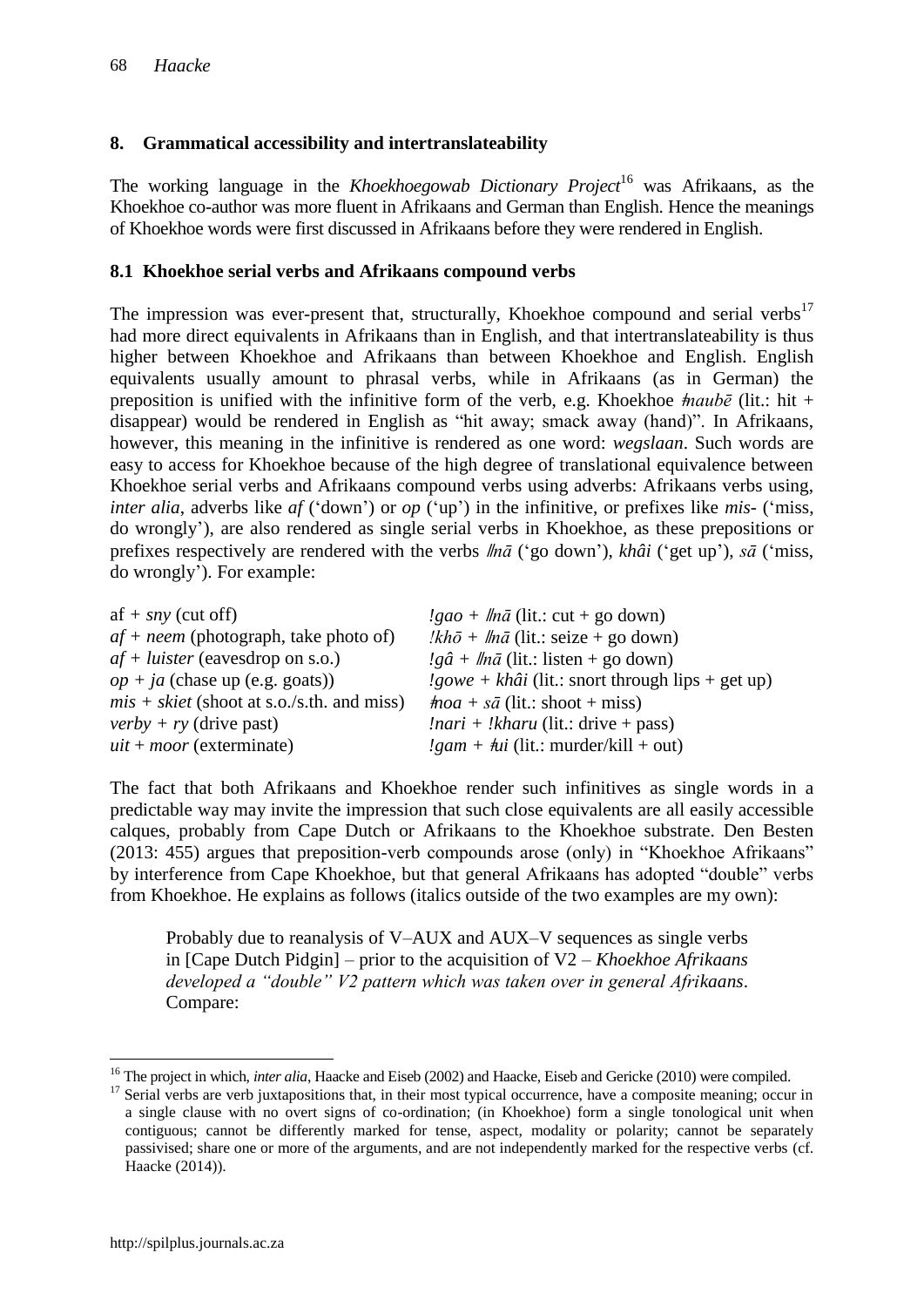### **8. Grammatical accessibility and intertranslateability**

The working language in the *Khoekhoegowab Dictionary Project*<sup>16</sup> was Afrikaans, as the Khoekhoe co-author was more fluent in Afrikaans and German than English. Hence the meanings of Khoekhoe words were first discussed in Afrikaans before they were rendered in English.

### **8.1 Khoekhoe serial verbs and Afrikaans compound verbs**

The impression was ever-present that, structurally, Khoekhoe compound and serial verbs $17$ had more direct equivalents in Afrikaans than in English, and that intertranslateability is thus higher between Khoekhoe and Afrikaans than between Khoekhoe and English. English equivalents usually amount to phrasal verbs, while in Afrikaans (as in German) the preposition is unified with the infinitive form of the verb, e.g. Khoekhoe  $\hbar a u b \bar{e}$  (lit.: hit + disappear) would be rendered in English as "hit away; smack away (hand)". In Afrikaans, however, this meaning in the infinitive is rendered as one word: *wegslaan*. Such words are easy to access for Khoekhoe because of the high degree of translational equivalence between Khoekhoe serial verbs and Afrikaans compound verbs using adverbs: Afrikaans verbs using, *inter alia*, adverbs like *af* ('down') or *op* ('up') in the infinitive, or prefixes like *mis*- ('miss, do wrongly"), are also rendered as single serial verbs in Khoekhoe, as these prepositions or prefixes respectively are rendered with the verbs ǁ*nā* ("go down"), *khâi* ("get up"), *sā* ("miss, do wrongly"). For example:

| af + sny (cut off)                           | $\ell$ gao + $\ln \bar{a}$ (lit.: cut + go down)         |
|----------------------------------------------|----------------------------------------------------------|
| $af + n$ eem (photograph, take photo of)     | <i>!khō</i> + <i>lhā</i> (lit.: seize + go down)         |
| $af + luster$ (eavesdrop on s.o.)            | $\ell g \hat{a} + \ln \bar{a}$ (lit.: listen + go down)  |
| $op + ja$ (chase up (e.g. goats))            | $lgowe + kh\hat{a}i$ (lit.: snort through lips + get up) |
| $mis + skiet$ (shoot at s.o./s.th. and miss) | $\#$ ioa + sā (lit.: shoot + miss)                       |
| $\textit{verby} + \textit{ry}$ (drive past)  | $!nari + !kharu$ (lit.: drive + pass)                    |
| $uit + motor$ (exterminate)                  | $lgam + \hbar u$ (lit.: murder/kill + out)               |

The fact that both Afrikaans and Khoekhoe render such infinitives as single words in a predictable way may invite the impression that such close equivalents are all easily accessible calques, probably from Cape Dutch or Afrikaans to the Khoekhoe substrate. Den Besten (2013: 455) argues that preposition-verb compounds arose (only) in "Khoekhoe Afrikaans" by interference from Cape Khoekhoe, but that general Afrikaans has adopted "double" verbs from Khoekhoe. He explains as follows (italics outside of the two examples are my own):

Probably due to reanalysis of V–AUX and AUX–V sequences as single verbs in [Cape Dutch Pidgin] – prior to the acquisition of V2 – *Khoekhoe Afrikaans developed a "double" V2 pattern which was taken over in general Afrikaans*. Compare:

<sup>&</sup>lt;sup>16</sup> The project in which, *inter alia*, Haacke and Eiseb (2002) and Haacke, Eiseb and Gericke (2010) were compiled.

 $17$  Serial verbs are verb juxtapositions that, in their most typical occurrence, have a composite meaning; occur in a single clause with no overt signs of co-ordination; (in Khoekhoe) form a single tonological unit when contiguous; cannot be differently marked for tense, aspect, modality or polarity; cannot be separately passivised; share one or more of the arguments, and are not independently marked for the respective verbs (cf. Haacke (2014)).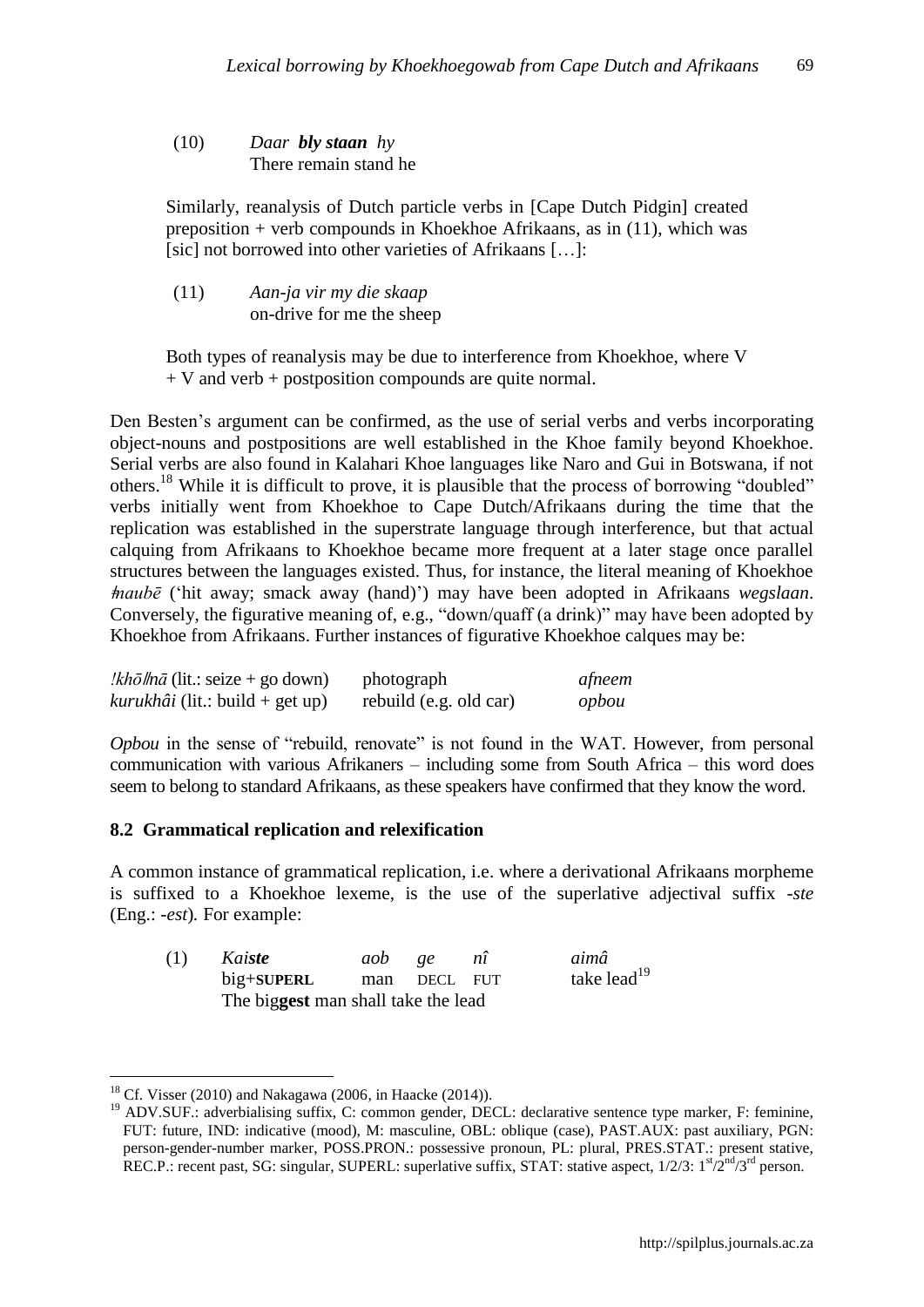(10) *Daar bly staan hy* There remain stand he

Similarly, reanalysis of Dutch particle verbs in [Cape Dutch Pidgin] created preposition  $+$  verb compounds in Khoekhoe Afrikaans, as in (11), which was [sic] not borrowed into other varieties of Afrikaans [...]:

(11) *Aan-ja vir my die skaap* on-drive for me the sheep

Both types of reanalysis may be due to interference from Khoekhoe, where V  $+ V$  and verb  $+$  postposition compounds are quite normal.

Den Besten's argument can be confirmed, as the use of serial verbs and verbs incorporating object-nouns and postpositions are well established in the Khoe family beyond Khoekhoe. Serial verbs are also found in Kalahari Khoe languages like Naro and Gui in Botswana, if not others.<sup>18</sup> While it is difficult to prove, it is plausible that the process of borrowing "doubled" verbs initially went from Khoekhoe to Cape Dutch/Afrikaans during the time that the replication was established in the superstrate language through interference, but that actual calquing from Afrikaans to Khoekhoe became more frequent at a later stage once parallel structures between the languages existed. Thus, for instance, the literal meaning of Khoekhoe ǂ*naubē* ("hit away; smack away (hand)") may have been adopted in Afrikaans *wegslaan*. Conversely, the figurative meaning of, e.g., "down/quaff (a drink)" may have been adopted by Khoekhoe from Afrikaans. Further instances of figurative Khoekhoe calques may be:

| <i>!khō lhā</i> (lit.: seize + go down) | photograph             | afneem |
|-----------------------------------------|------------------------|--------|
| <i>kurukhâi</i> (lit.: build + get up)  | rebuild (e.g. old car) | opbou  |

*Opbou* in the sense of "rebuild, renovate" is not found in the WAT. However, from personal communication with various Afrikaners – including some from South Africa – this word does seem to belong to standard Afrikaans, as these speakers have confirmed that they know the word.

### **8.2 Grammatical replication and relexification**

A common instance of grammatical replication, i.e. where a derivational Afrikaans morpheme is suffixed to a Khoekhoe lexeme, is the use of the superlative adjectival suffix -*ste* (Eng.: -*est*)*.* For example:

| (1) | Kaiste                              | aob ge       |  | nî | aimâ                    |  |  |  |  |  |
|-----|-------------------------------------|--------------|--|----|-------------------------|--|--|--|--|--|
|     | big+SUPERL                          | man DECL FUT |  |    | take lead <sup>19</sup> |  |  |  |  |  |
|     | The biggest man shall take the lead |              |  |    |                         |  |  |  |  |  |

<sup>&</sup>lt;sup>18</sup> Cf. Visser (2010) and Nakagawa (2006, in Haacke (2014)).

<sup>&</sup>lt;sup>19</sup> ADV.SUF.: adverbialising suffix, C: common gender, DECL: declarative sentence type marker, F: feminine, FUT: future, IND: indicative (mood), M: masculine, OBL: oblique (case), PAST.AUX: past auxiliary, PGN: person-gender-number marker, POSS.PRON.: possessive pronoun, PL: plural, PRES.STAT.: present stative, REC.P.: recent past, SG: singular, SUPERL: superlative suffix, STAT: stative aspect, 1/2/3: 1<sup>st</sup>/2<sup>nd</sup>/3<sup>rd</sup> person.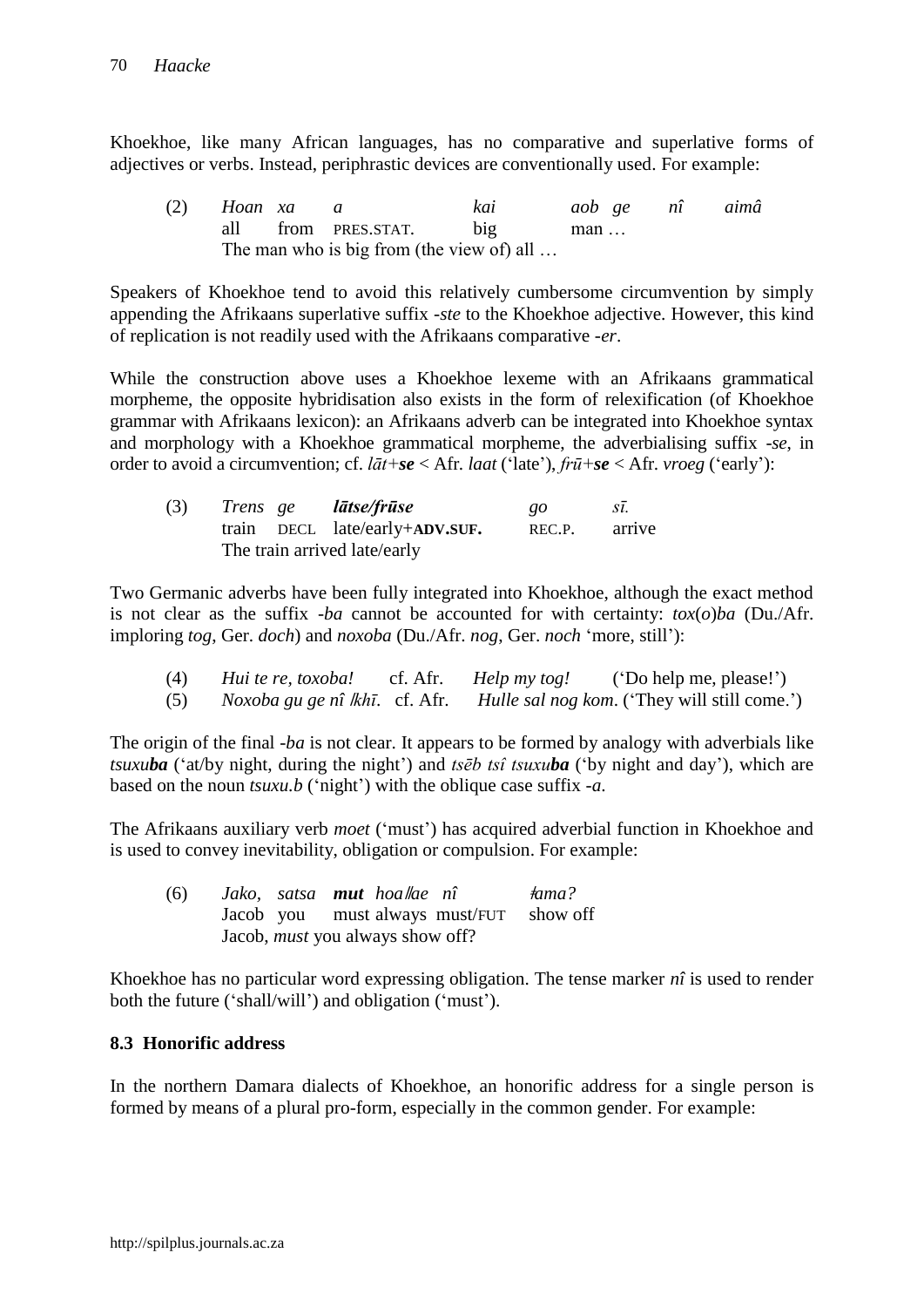Khoekhoe, like many African languages, has no comparative and superlative forms of adjectives or verbs. Instead, periphrastic devices are conventionally used. For example:

(2) *Hoan xa a kai aob ge nî aimâ* all from PRES.STAT. big man ... The man who is big from (the view of) all ...

Speakers of Khoekhoe tend to avoid this relatively cumbersome circumvention by simply appending the Afrikaans superlative suffix -*ste* to the Khoekhoe adjective. However, this kind of replication is not readily used with the Afrikaans comparative -*er*.

While the construction above uses a Khoekhoe lexeme with an Afrikaans grammatical morpheme, the opposite hybridisation also exists in the form of relexification (of Khoekhoe grammar with Afrikaans lexicon): an Afrikaans adverb can be integrated into Khoekhoe syntax and morphology with a Khoekhoe grammatical morpheme, the adverbialising suffix -*se*, in order to avoid a circumvention; cf. *lāt+se* < Afr*. laat* ("late"), *frū+se* < Afr. *vroeg* ("early"):

| (3) |  | Trens ge <b>lātse/frūse</b>    | go     | Sl.    |
|-----|--|--------------------------------|--------|--------|
|     |  | train DECL late/early+ADV.SUF. | REC.P. | arrive |
|     |  | The train arrived late/early   |        |        |

Two Germanic adverbs have been fully integrated into Khoekhoe, although the exact method is not clear as the suffix -*ba* cannot be accounted for with certainty: *tox*(*o*)*ba* (Du./Afr. imploring *tog*, Ger. *doch*) and *noxoba* (Du./Afr. *nog*, Ger. *noch* "more, still"):

| (4) | Hui te re, toxoba!                    | cf. Afr. | Help my tog! | ('Do help me, please!')                             |
|-----|---------------------------------------|----------|--------------|-----------------------------------------------------|
| (5) | <i>Noxoba gu ge nî khī</i> . cf. Afr. |          |              | <i>Hulle sal nog kom.</i> ('They will still come.') |

The origin of the final -*ba* is not clear. It appears to be formed by analogy with adverbials like *tsuxuba* ('at/by night, during the night') and *tsēb tsî tsuxuba* ('by night and day'), which are based on the noun *tsuxu.b* ("night") with the oblique case suffix -*a*.

The Afrikaans auxiliary verb *moet* ("must") has acquired adverbial function in Khoekhoe and is used to convey inevitability, obligation or compulsion. For example:

| (6) |  | Jako, satsa <b>mut</b> hoallae nî       | #ama?                                   |
|-----|--|-----------------------------------------|-----------------------------------------|
|     |  |                                         | Jacob you must always must/FUT show off |
|     |  | Jacob, <i>must</i> you always show off? |                                         |

Khoekhoe has no particular word expressing obligation. The tense marker *nî* is used to render both the future ('shall/will') and obligation ('must').

# **8.3 Honorific address**

In the northern Damara dialects of Khoekhoe, an honorific address for a single person is formed by means of a plural pro-form, especially in the common gender. For example: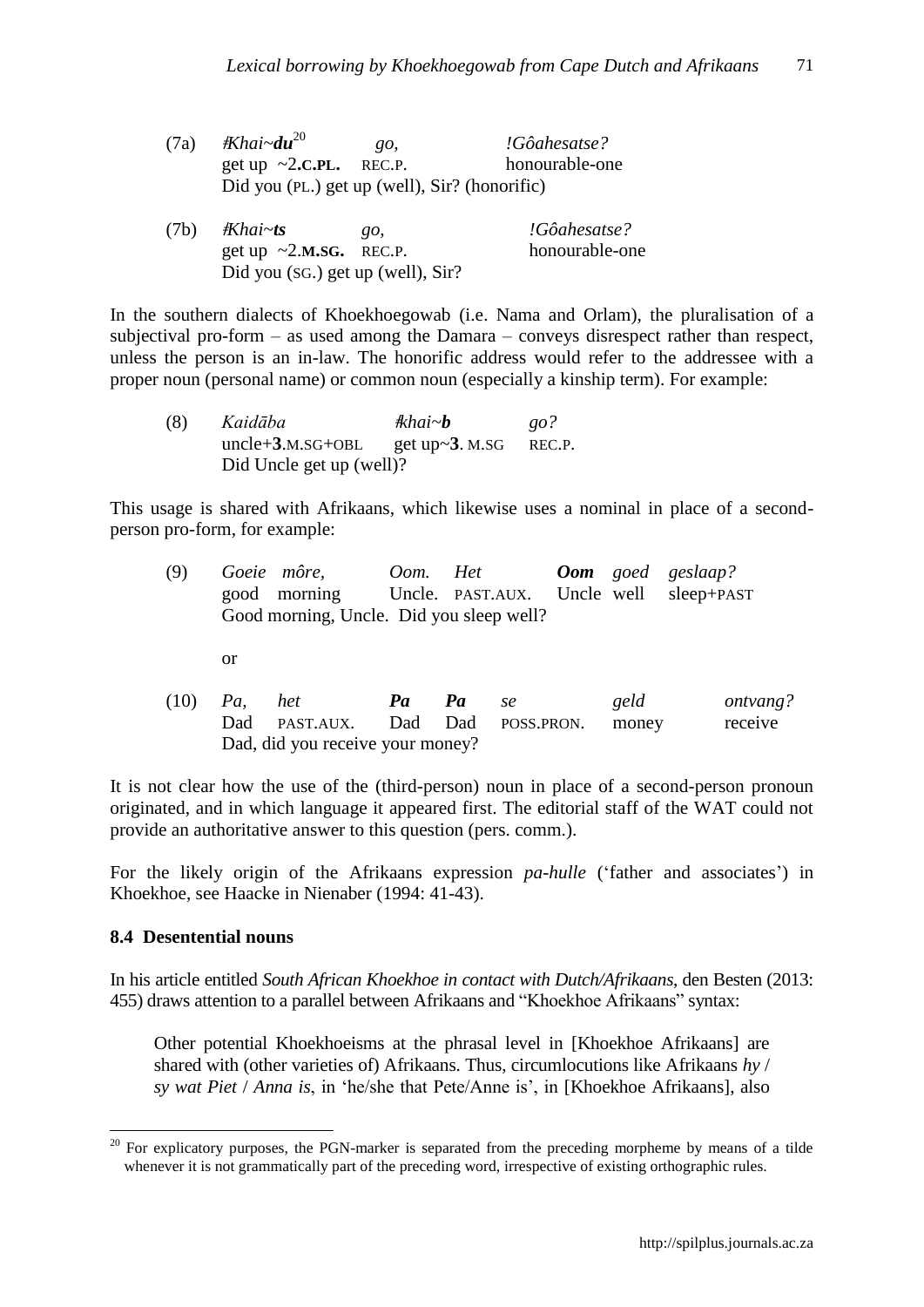| 20, | !Gôahesatse?                                                                   |
|-----|--------------------------------------------------------------------------------|
|     | honourable-one                                                                 |
|     |                                                                                |
|     | get up $\sim 2$ .C.PL. REC.P.<br>Did you (PL.) get up (well), Sir? (honorific) |

(7b) ǂ*Khai~ts go, !Gôahesatse?* get up ~2.**M.SG.** REC.P. honourable-one Did you (SG.) get up (well), Sir?

In the southern dialects of Khoekhoegowab (i.e. Nama and Orlam), the pluralisation of a subjectival pro-form – as used among the Damara – conveys disrespect rather than respect, unless the person is an in-law. The honorific address would refer to the addressee with a proper noun (personal name) or common noun (especially a kinship term). For example:

| (8) | Kaidāba                                | #chai~ $\bm{b}$ | $g_0$ ? |
|-----|----------------------------------------|-----------------|---------|
|     | uncle+3.M.SG+OBL get up $\sim$ 3. M.SG |                 | REC.P.  |
|     | Did Uncle get up (well)?               |                 |         |

This usage is shared with Afrikaans, which likewise uses a nominal in place of a secondperson pro-form, for example:

(9) *Goeie môre, Oom. Het Oom goed geslaap?* good morning Uncle. PAST.AUX. Uncle well sleep+PAST Good morning, Uncle. Did you sleep well?

or

(10) *Pa, het Pa Pa se geld ontvang?* Dad PAST.AUX. Dad Dad POSS.PRON. money receive Dad, did you receive your money?

It is not clear how the use of the (third-person) noun in place of a second-person pronoun originated, and in which language it appeared first. The editorial staff of the WAT could not provide an authoritative answer to this question (pers. comm.).

For the likely origin of the Afrikaans expression *pa-hulle* ('father and associates') in Khoekhoe, see Haacke in Nienaber (1994: 41-43).

### **8.4 Desentential nouns**

 $\overline{a}$ 

In his article entitled *South African Khoekhoe in contact with Dutch/Afrikaans*, den Besten (2013: 455) draws attention to a parallel between Afrikaans and "Khoekhoe Afrikaans" syntax:

Other potential Khoekhoeisms at the phrasal level in [Khoekhoe Afrikaans] are shared with (other varieties of) Afrikaans. Thus, circumlocutions like Afrikaans *hy* / *sy wat Piet* / *Anna is*, in "he/she that Pete/Anne is", in [Khoekhoe Afrikaans], also

<sup>20</sup> For explicatory purposes, the PGN-marker is separated from the preceding morpheme by means of a tilde whenever it is not grammatically part of the preceding word, irrespective of existing orthographic rules.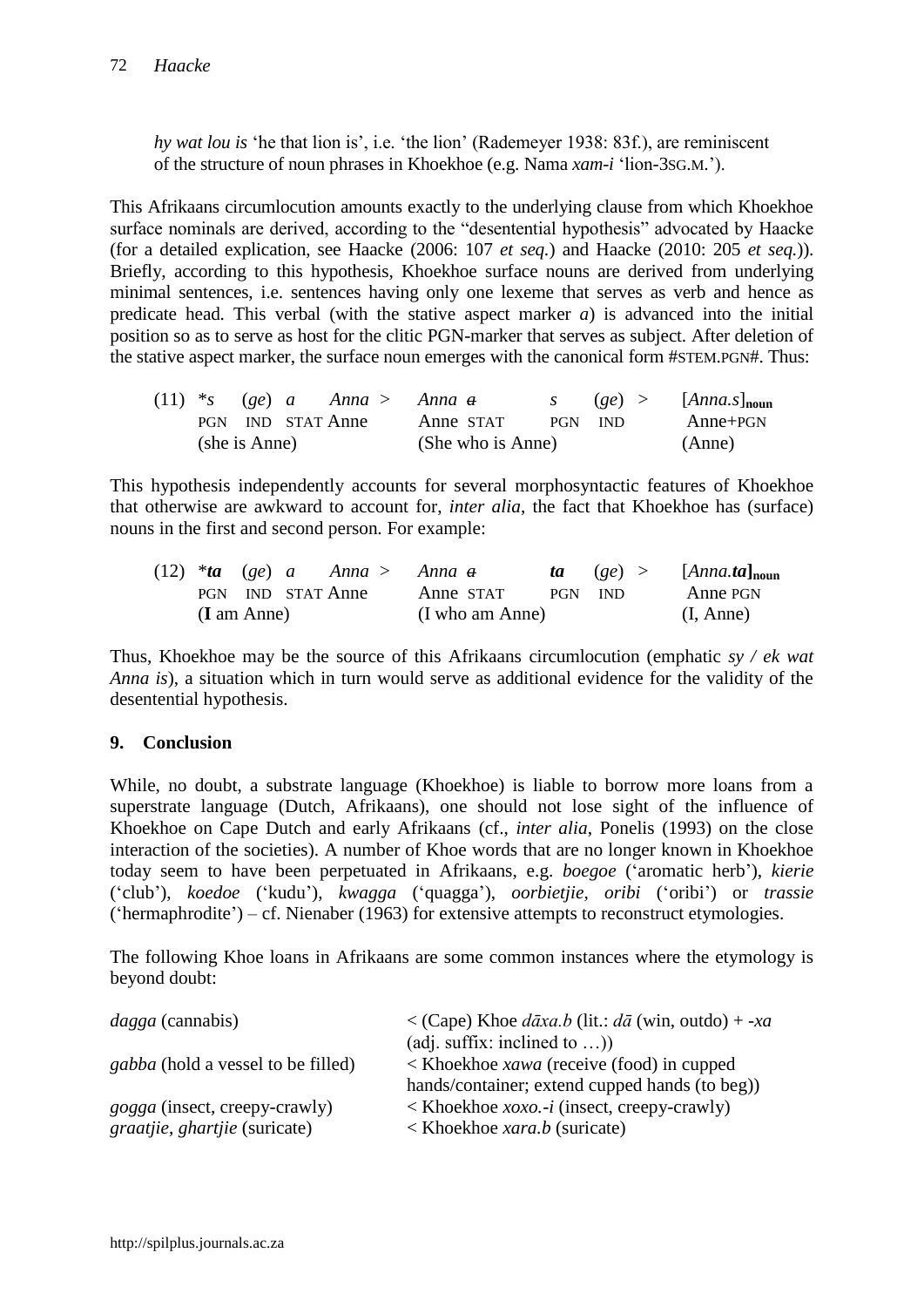*hy wat lou is* "he that lion is", i.e. "the lion" (Rademeyer 1938: 83f.), are reminiscent of the structure of noun phrases in Khoekhoe (e.g. Nama *xam-i* "lion-3SG.M.").

This Afrikaans circumlocution amounts exactly to the underlying clause from which Khoekhoe surface nominals are derived, according to the "desentential hypothesis" advocated by Haacke (for a detailed explication, see Haacke (2006: 107 *et seq.*) and Haacke (2010: 205 *et seq.*)). Briefly, according to this hypothesis, Khoekhoe surface nouns are derived from underlying minimal sentences, i.e. sentences having only one lexeme that serves as verb and hence as predicate head. This verbal (with the stative aspect marker *a*) is advanced into the initial position so as to serve as host for the clitic PGN-marker that serves as subject. After deletion of the stative aspect marker, the surface noun emerges with the canonical form #STEM.PGN#. Thus:

|               |  |  | $(11) *_{s} (ge) a$ Anna > Anna <del>a</del> |                   |  |           |         |  | $(ge) > [Anna.s]_{\text{noun}}$ |
|---------------|--|--|----------------------------------------------|-------------------|--|-----------|---------|--|---------------------------------|
|               |  |  | PGN IND STAT Anne                            |                   |  | Anne STAT | PGN IND |  | Anne+PGN                        |
| (she is Anne) |  |  |                                              | (She who is Anne) |  |           | (Anne)  |  |                                 |

This hypothesis independently accounts for several morphosyntactic features of Khoekhoe that otherwise are awkward to account for, *inter alia*, the fact that Khoekhoe has (surface) nouns in the first and second person*.* For example:

|  |                       | $(12)$ * <b>ta</b> $(ge)$ a Anna > Anna <del>a</del> |                 | ta ta |         | $(ge) > [Anna.ta]_{\text{noun}}$ |
|--|-----------------------|------------------------------------------------------|-----------------|-------|---------|----------------------------------|
|  |                       | PGN IND STAT Anne                                    | Anne STAT       |       | PGN IND | Anne PGN                         |
|  | $(I \text{ am Anne})$ |                                                      | (I who am Anne) |       |         | (I, Anne)                        |

Thus, Khoekhoe may be the source of this Afrikaans circumlocution (emphatic *sy / ek wat Anna is*), a situation which in turn would serve as additional evidence for the validity of the desentential hypothesis.

# **9. Conclusion**

While, no doubt, a substrate language (Khoekhoe) is liable to borrow more loans from a superstrate language (Dutch, Afrikaans), one should not lose sight of the influence of Khoekhoe on Cape Dutch and early Afrikaans (cf., *inter alia*, Ponelis (1993) on the close interaction of the societies). A number of Khoe words that are no longer known in Khoekhoe today seem to have been perpetuated in Afrikaans, e.g. *boegoe* ("aromatic herb"), *kierie* ("club"), *koedoe* ("kudu"), *kwagga* ("quagga"), *oorbietjie*, *oribi* ("oribi") or *trassie* ('hermaphrodite') – cf. Nienaber (1963) for extensive attempts to reconstruct etymologies.

The following Khoe loans in Afrikaans are some common instances where the etymology is beyond doubt:

| <i>dagga</i> (cannabis)                                                      | $\langle$ (Cape) Khoe <i>dāxa.b</i> (lit.: <i>dā</i> (win, outdo) + -xa<br>$(\text{adj. suffix: inclined to }))$  |
|------------------------------------------------------------------------------|-------------------------------------------------------------------------------------------------------------------|
| <i>gabba</i> (hold a vessel to be filled)                                    | $\langle$ Khoekhoe <i>xawa</i> (receive (food) in cupped<br>hands/container; extend cupped hands (to beg))        |
| <i>gogga</i> (insect, creepy-crawly)<br><i>graatjie, ghartjie</i> (suricate) | $\langle$ Khoekhoe <i>xoxo</i> .- <i>i</i> (insect, creepy-crawly)<br>$\langle$ Khoekhoe <i>xara.b</i> (suricate) |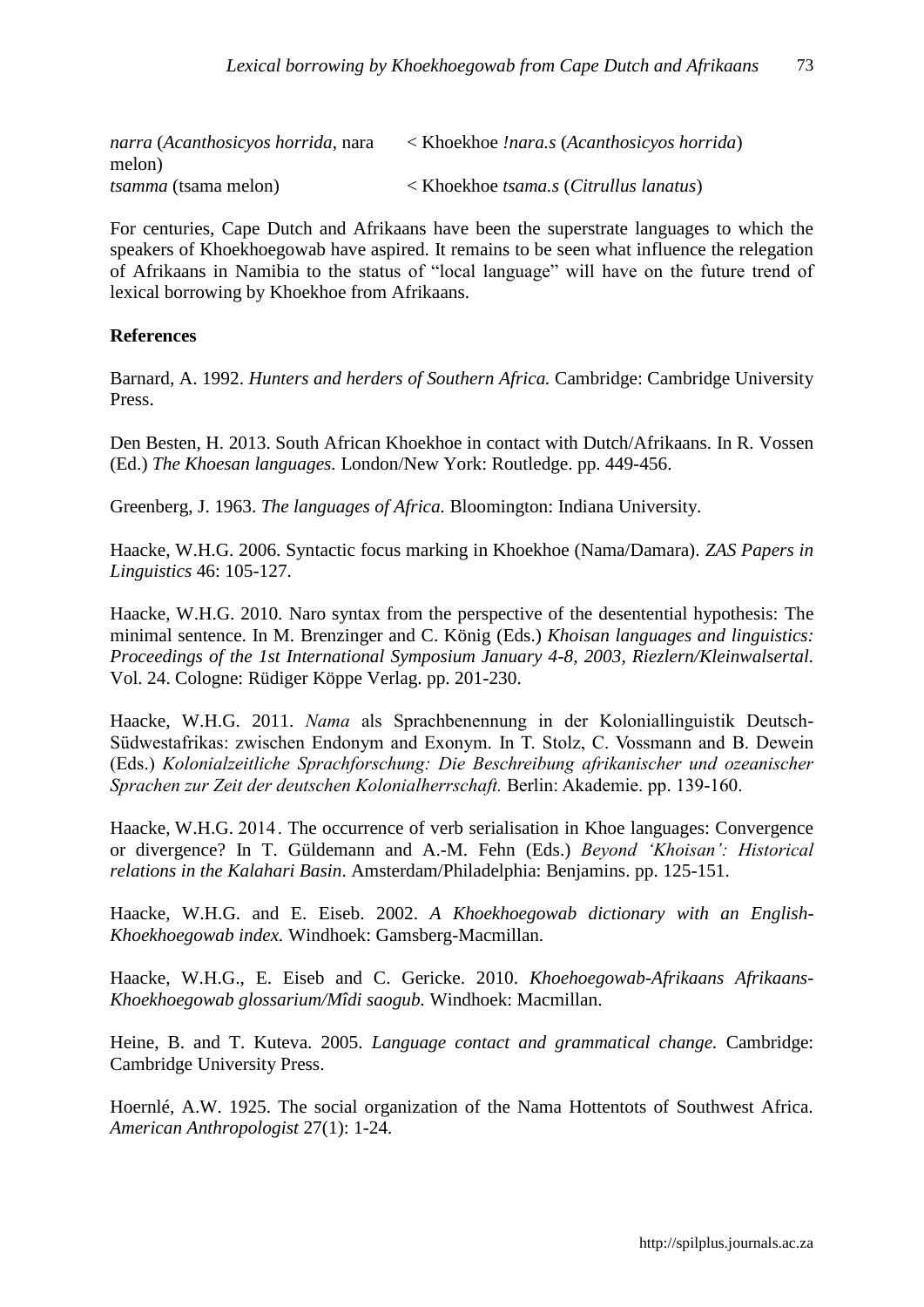| narra (Acanthosicyos horrida, nara | < Khoekhoe !nara.s (Acanthosicyos horrida)                     |
|------------------------------------|----------------------------------------------------------------|
| melon)                             |                                                                |
| <i>tsamma</i> (tsama melon)        | $\langle$ Khoekhoe <i>tsama.s</i> ( <i>Citrullus lanatus</i> ) |

For centuries, Cape Dutch and Afrikaans have been the superstrate languages to which the speakers of Khoekhoegowab have aspired. It remains to be seen what influence the relegation of Afrikaans in Namibia to the status of "local language" will have on the future trend of lexical borrowing by Khoekhoe from Afrikaans.

### **References**

Barnard, A. 1992. *Hunters and herders of Southern Africa.* Cambridge: Cambridge University Press.

Den Besten, H. 2013. South African Khoekhoe in contact with Dutch/Afrikaans. In R. Vossen (Ed.) *The Khoesan languages.* London/New York: Routledge. pp. 449-456.

Greenberg, J. 1963. *The languages of Africa.* Bloomington: Indiana University.

Haacke, W.H.G. 2006. Syntactic focus marking in Khoekhoe (Nama/Damara). *ZAS Papers in Linguistics* 46: 105-127.

Haacke, W.H.G. 2010. Naro syntax from the perspective of the desentential hypothesis: The minimal sentence. In M. Brenzinger and C. König (Eds.) *Khoisan languages and linguistics: Proceedings of the 1st International Symposium January 4-8, 2003, Riezlern/Kleinwalsertal.* Vol. 24. Cologne: Rüdiger Köppe Verlag. pp. 201-230.

Haacke, W.H.G. 2011. *Nama* als Sprachbenennung in der Koloniallinguistik Deutsch-Südwestafrikas: zwischen Endonym and Exonym. In T. Stolz, C. Vossmann and B. Dewein (Eds.) *Kolonialzeitliche Sprachforschung: Die Beschreibung afrikanischer und ozeanischer Sprachen zur Zeit der deutschen Kolonialherrschaft.* Berlin: Akademie. pp. 139-160.

Haacke, W.H.G. 2014. The occurrence of verb serialisation in Khoe languages: Convergence or divergence? In T. Güldemann and A.-M. Fehn (Eds.) *Beyond "Khoisan": Historical relations in the Kalahari Basin*. Amsterdam/Philadelphia: Benjamins. pp. 125-151.

Haacke, W.H.G. and E. Eiseb. 2002. *A Khoekhoegowab dictionary with an English-Khoekhoegowab index.* Windhoek: Gamsberg-Macmillan*.*

Haacke, W.H.G., E. Eiseb and C. Gericke. 2010. *Khoehoegowab-Afrikaans Afrikaans-Khoekhoegowab glossarium/Mîdi saogub.* Windhoek: Macmillan.

Heine, B. and T. Kuteva. 2005. *Language contact and grammatical change.* Cambridge: Cambridge University Press.

Hoernlé, A.W. 1925. The social organization of the Nama Hottentots of Southwest Africa. *American Anthropologist* 27(1): 1-24.